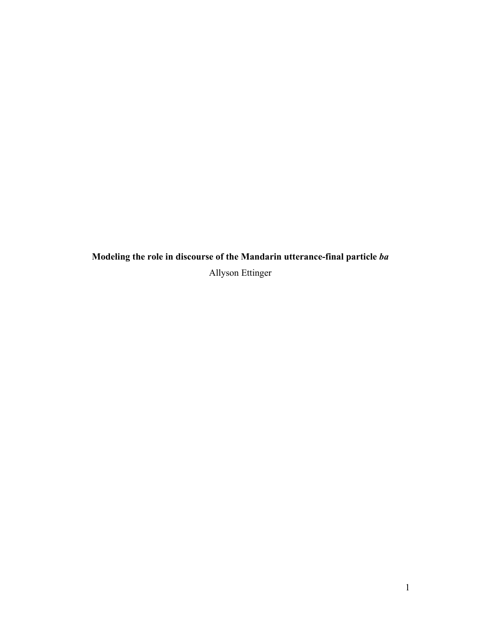**Modeling the role in discourse of the Mandarin utterance-final particle** *ba* Allyson Ettinger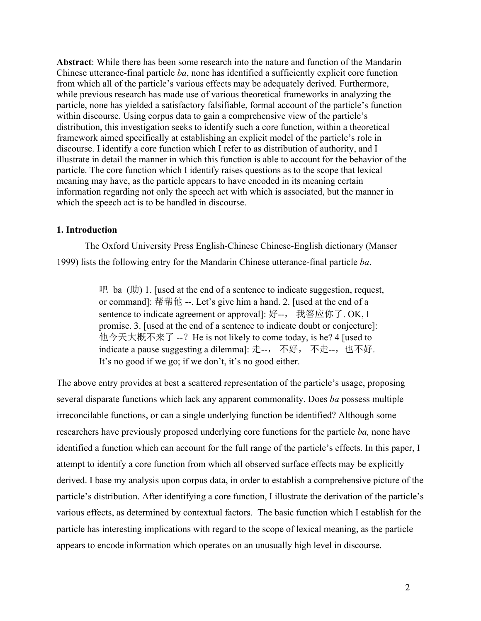**Abstract**: While there has been some research into the nature and function of the Mandarin Chinese utterance-final particle *ba*, none has identified a sufficiently explicit core function from which all of the particle's various effects may be adequately derived. Furthermore, while previous research has made use of various theoretical frameworks in analyzing the particle, none has yielded a satisfactory falsifiable, formal account of the particle's function within discourse. Using corpus data to gain a comprehensive view of the particle's distribution, this investigation seeks to identify such a core function, within a theoretical framework aimed specifically at establishing an explicit model of the particle's role in discourse. I identify a core function which I refer to as distribution of authority, and I illustrate in detail the manner in which this function is able to account for the behavior of the particle. The core function which I identify raises questions as to the scope that lexical meaning may have, as the particle appears to have encoded in its meaning certain information regarding not only the speech act with which is associated, but the manner in which the speech act is to be handled in discourse.

### **1. Introduction**

The Oxford University Press English-Chinese Chinese-English dictionary (Manser 1999) lists the following entry for the Mandarin Chinese utterance-final particle *ba*.

> 吧 ba  $(\text{th})$  1. [used at the end of a sentence to indicate suggestion, request, or command]: 帮帮他 --. Let's give him a hand. 2. [used at the end of a sentence to indicate agreement or approval]: 好--, 我答应你了. OK, I promise. 3. [used at the end of a sentence to indicate doubt or conjecture]: 他今天大概不来了 --? He is not likely to come today, is he? 4 [used to indicate a pause suggesting a dilemma]: 走--, 不好, 不走--, 也不好. It's no good if we go; if we don't, it's no good either.

The above entry provides at best a scattered representation of the particle's usage, proposing several disparate functions which lack any apparent commonality. Does *ba* possess multiple irreconcilable functions, or can a single underlying function be identified? Although some researchers have previously proposed underlying core functions for the particle *ba,* none have identified a function which can account for the full range of the particle's effects. In this paper, I attempt to identify a core function from which all observed surface effects may be explicitly derived. I base my analysis upon corpus data, in order to establish a comprehensive picture of the particle's distribution. After identifying a core function, I illustrate the derivation of the particle's various effects, as determined by contextual factors. The basic function which I establish for the particle has interesting implications with regard to the scope of lexical meaning, as the particle appears to encode information which operates on an unusually high level in discourse.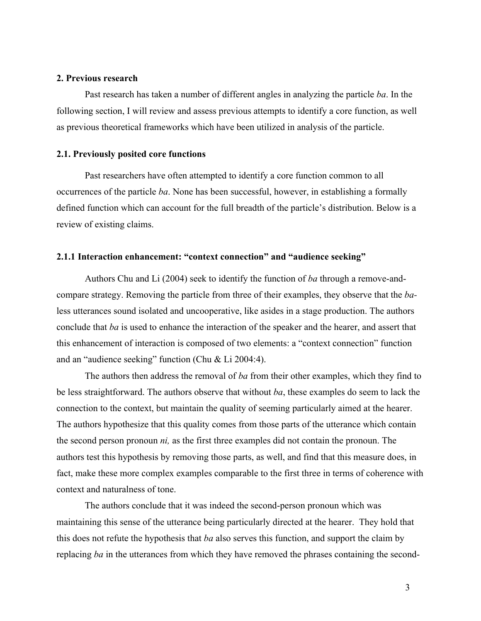#### **2. Previous research**

Past research has taken a number of different angles in analyzing the particle *ba*. In the following section, I will review and assess previous attempts to identify a core function, as well as previous theoretical frameworks which have been utilized in analysis of the particle.

### **2.1. Previously posited core functions**

Past researchers have often attempted to identify a core function common to all occurrences of the particle *ba*. None has been successful, however, in establishing a formally defined function which can account for the full breadth of the particle's distribution. Below is a review of existing claims.

### **2.1.1 Interaction enhancement: "context connection" and "audience seeking"**

Authors Chu and Li (2004) seek to identify the function of *ba* through a remove-andcompare strategy. Removing the particle from three of their examples, they observe that the *ba*less utterances sound isolated and uncooperative, like asides in a stage production. The authors conclude that *ba* is used to enhance the interaction of the speaker and the hearer, and assert that this enhancement of interaction is composed of two elements: a "context connection" function and an "audience seeking" function (Chu & Li 2004:4).

The authors then address the removal of *ba* from their other examples, which they find to be less straightforward. The authors observe that without *ba*, these examples do seem to lack the connection to the context, but maintain the quality of seeming particularly aimed at the hearer. The authors hypothesize that this quality comes from those parts of the utterance which contain the second person pronoun *ni,* as the first three examples did not contain the pronoun. The authors test this hypothesis by removing those parts, as well, and find that this measure does, in fact, make these more complex examples comparable to the first three in terms of coherence with context and naturalness of tone.

The authors conclude that it was indeed the second-person pronoun which was maintaining this sense of the utterance being particularly directed at the hearer. They hold that this does not refute the hypothesis that *ba* also serves this function, and support the claim by replacing *ba* in the utterances from which they have removed the phrases containing the second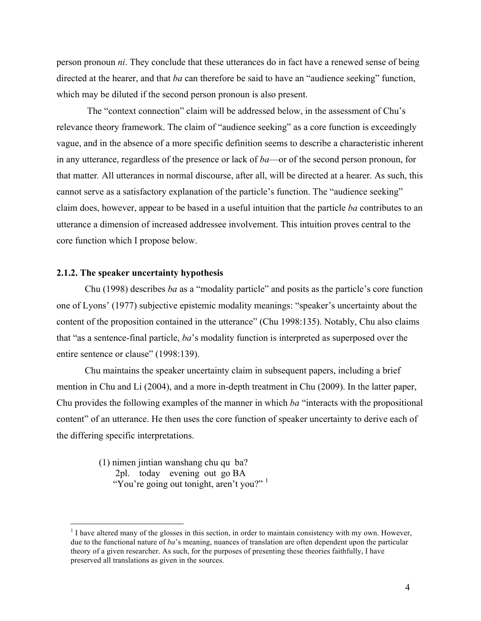person pronoun *ni*. They conclude that these utterances do in fact have a renewed sense of being directed at the hearer, and that *ba* can therefore be said to have an "audience seeking" function, which may be diluted if the second person pronoun is also present.

The "context connection" claim will be addressed below, in the assessment of Chu's relevance theory framework. The claim of "audience seeking" as a core function is exceedingly vague, and in the absence of a more specific definition seems to describe a characteristic inherent in any utterance, regardless of the presence or lack of *ba*—or of the second person pronoun, for that matter*.* All utterances in normal discourse, after all, will be directed at a hearer. As such, this cannot serve as a satisfactory explanation of the particle's function. The "audience seeking" claim does, however, appear to be based in a useful intuition that the particle *ba* contributes to an utterance a dimension of increased addressee involvement. This intuition proves central to the core function which I propose below.

### **2.1.2. The speaker uncertainty hypothesis**

Chu (1998) describes *ba* as a "modality particle" and posits as the particle's core function one of Lyons' (1977) subjective epistemic modality meanings: "speaker's uncertainty about the content of the proposition contained in the utterance" (Chu 1998:135). Notably, Chu also claims that "as a sentence-final particle, *ba*'s modality function is interpreted as superposed over the entire sentence or clause" (1998:139).

Chu maintains the speaker uncertainty claim in subsequent papers, including a brief mention in Chu and Li (2004), and a more in-depth treatment in Chu (2009). In the latter paper, Chu provides the following examples of the manner in which *ba* "interacts with the propositional content" of an utterance. He then uses the core function of speaker uncertainty to derive each of the differing specific interpretations.

> (1) nimen jintian wanshang chu qu ba? 2pl. today evening out go BA "You're going out tonight, aren't you?"<sup>1</sup>

<sup>&</sup>lt;sup>1</sup> I have altered many of the glosses in this section, in order to maintain consistency with my own. However, due to the functional nature of *ba*'s meaning, nuances of translation are often dependent upon the particular theory of a given researcher. As such, for the purposes of presenting these theories faithfully, I have preserved all translations as given in the sources.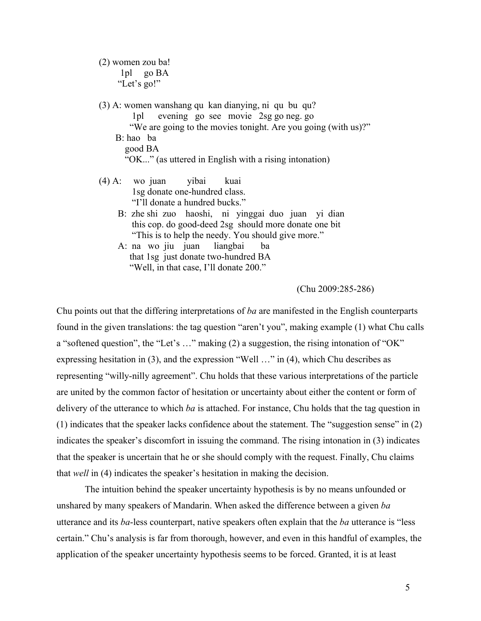(2) women zou ba! 1pl go BA "Let's go!"

(3) A: women wanshang qu kan dianying, ni qu bu qu? 1pl evening go see movie 2sg go neg. go "We are going to the movies tonight. Are you going (with us)?" B: hao ba good BA "OK..." (as uttered in English with a rising intonation) (4) A: wo juan yibai kuai 1sg donate one-hundred class.

"I'll donate a hundred bucks."

- B: zhe shi zuo haoshi, ni yinggai duo juan yi dian this cop. do good-deed 2sg should more donate one bit "This is to help the needy. You should give more."
- A: na wo jiu juan liangbai ba that 1sg just donate two-hundred BA "Well, in that case, I'll donate 200."

(Chu 2009:285-286)

Chu points out that the differing interpretations of *ba* are manifested in the English counterparts found in the given translations: the tag question "aren't you", making example (1) what Chu calls a "softened question", the "Let's …" making (2) a suggestion, the rising intonation of "OK" expressing hesitation in (3), and the expression "Well …" in (4), which Chu describes as representing "willy-nilly agreement". Chu holds that these various interpretations of the particle are united by the common factor of hesitation or uncertainty about either the content or form of delivery of the utterance to which *ba* is attached. For instance, Chu holds that the tag question in (1) indicates that the speaker lacks confidence about the statement. The "suggestion sense" in (2) indicates the speaker's discomfort in issuing the command. The rising intonation in (3) indicates that the speaker is uncertain that he or she should comply with the request. Finally, Chu claims that *well* in (4) indicates the speaker's hesitation in making the decision.

The intuition behind the speaker uncertainty hypothesis is by no means unfounded or unshared by many speakers of Mandarin. When asked the difference between a given *ba* utterance and its *ba*-less counterpart, native speakers often explain that the *ba* utterance is "less certain." Chu's analysis is far from thorough, however, and even in this handful of examples, the application of the speaker uncertainty hypothesis seems to be forced. Granted, it is at least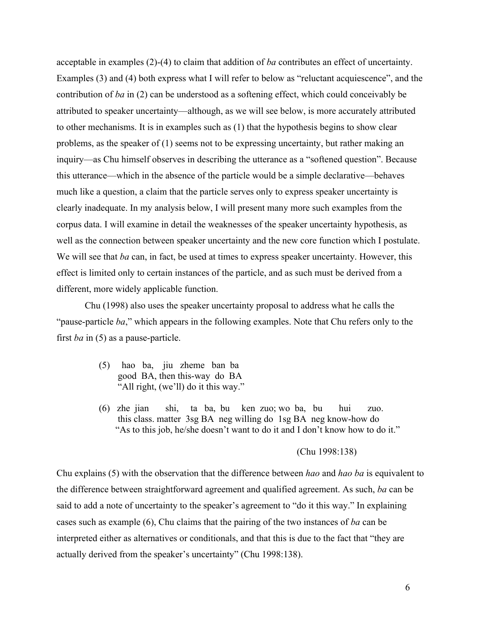acceptable in examples (2)-(4) to claim that addition of *ba* contributes an effect of uncertainty. Examples (3) and (4) both express what I will refer to below as "reluctant acquiescence", and the contribution of *ba* in (2) can be understood as a softening effect, which could conceivably be attributed to speaker uncertainty—although, as we will see below, is more accurately attributed to other mechanisms. It is in examples such as (1) that the hypothesis begins to show clear problems, as the speaker of (1) seems not to be expressing uncertainty, but rather making an inquiry—as Chu himself observes in describing the utterance as a "softened question". Because this utterance—which in the absence of the particle would be a simple declarative—behaves much like a question, a claim that the particle serves only to express speaker uncertainty is clearly inadequate. In my analysis below, I will present many more such examples from the corpus data. I will examine in detail the weaknesses of the speaker uncertainty hypothesis, as well as the connection between speaker uncertainty and the new core function which I postulate. We will see that *ba* can, in fact, be used at times to express speaker uncertainty. However, this effect is limited only to certain instances of the particle, and as such must be derived from a different, more widely applicable function.

Chu (1998) also uses the speaker uncertainty proposal to address what he calls the "pause-particle *ba*," which appears in the following examples. Note that Chu refers only to the first *ba* in (5) as a pause-particle.

- (5) hao ba, jiu zheme ban ba good BA, then this-way do BA "All right, (we'll) do it this way."
- (6) zhe jian shi, ta ba, bu ken zuo; wo ba, bu hui zuo. this class. matter 3sg BA neg willing do 1sg BA neg know-how do "As to this job, he/she doesn't want to do it and I don't know how to do it."

#### (Chu 1998:138)

Chu explains (5) with the observation that the difference between *hao* and *hao ba* is equivalent to the difference between straightforward agreement and qualified agreement. As such, *ba* can be said to add a note of uncertainty to the speaker's agreement to "do it this way." In explaining cases such as example (6), Chu claims that the pairing of the two instances of *ba* can be interpreted either as alternatives or conditionals, and that this is due to the fact that "they are actually derived from the speaker's uncertainty" (Chu 1998:138).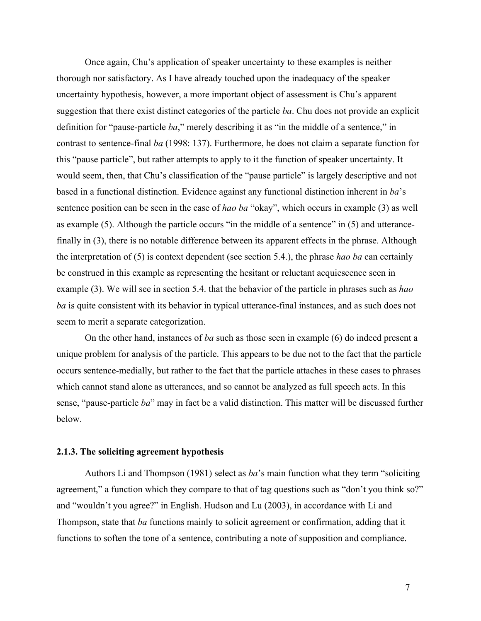Once again, Chu's application of speaker uncertainty to these examples is neither thorough nor satisfactory. As I have already touched upon the inadequacy of the speaker uncertainty hypothesis, however, a more important object of assessment is Chu's apparent suggestion that there exist distinct categories of the particle *ba*. Chu does not provide an explicit definition for "pause-particle *ba*," merely describing it as "in the middle of a sentence," in contrast to sentence-final *ba* (1998: 137). Furthermore, he does not claim a separate function for this "pause particle", but rather attempts to apply to it the function of speaker uncertainty. It would seem, then, that Chu's classification of the "pause particle" is largely descriptive and not based in a functional distinction. Evidence against any functional distinction inherent in *ba*'s sentence position can be seen in the case of *hao ba* "okay", which occurs in example (3) as well as example (5). Although the particle occurs "in the middle of a sentence" in (5) and utterancefinally in (3), there is no notable difference between its apparent effects in the phrase. Although the interpretation of (5) is context dependent (see section 5.4.), the phrase *hao ba* can certainly be construed in this example as representing the hesitant or reluctant acquiescence seen in example (3). We will see in section 5.4. that the behavior of the particle in phrases such as *hao ba* is quite consistent with its behavior in typical utterance-final instances, and as such does not seem to merit a separate categorization.

On the other hand, instances of *ba* such as those seen in example (6) do indeed present a unique problem for analysis of the particle. This appears to be due not to the fact that the particle occurs sentence-medially, but rather to the fact that the particle attaches in these cases to phrases which cannot stand alone as utterances, and so cannot be analyzed as full speech acts. In this sense, "pause-particle *ba*" may in fact be a valid distinction. This matter will be discussed further below.

#### **2.1.3. The soliciting agreement hypothesis**

Authors Li and Thompson (1981) select as *ba*'s main function what they term "soliciting agreement," a function which they compare to that of tag questions such as "don't you think so?" and "wouldn't you agree?" in English. Hudson and Lu (2003), in accordance with Li and Thompson, state that *ba* functions mainly to solicit agreement or confirmation, adding that it functions to soften the tone of a sentence, contributing a note of supposition and compliance.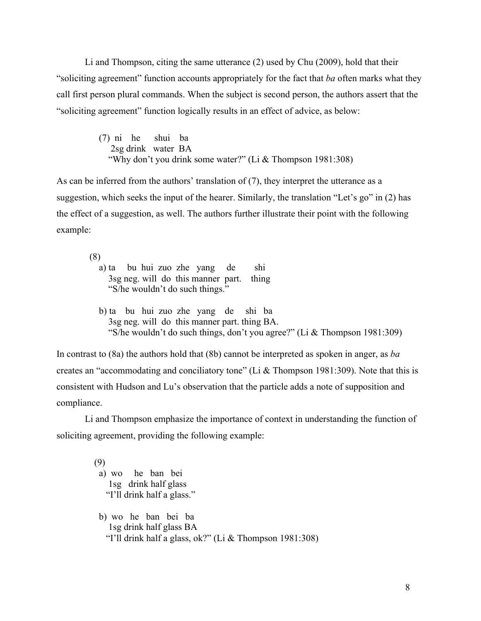Li and Thompson, citing the same utterance (2) used by Chu (2009), hold that their "soliciting agreement" function accounts appropriately for the fact that *ba* often marks what they call first person plural commands. When the subject is second person, the authors assert that the "soliciting agreement" function logically results in an effect of advice, as below:

> (7) ni he shui ba 2sg drink water BA "Why don't you drink some water?" (Li & Thompson 1981:308)

As can be inferred from the authors' translation of (7), they interpret the utterance as a suggestion, which seeks the input of the hearer. Similarly, the translation "Let's go" in (2) has the effect of a suggestion, as well. The authors further illustrate their point with the following example:

(8)

a) ta bu hui zuo zhe yang de shi 3sg neg. will do this manner part. thing "S/he wouldn't do such things."

b) ta bu hui zuo zhe yang de shi ba 3sg neg. will do this manner part. thing BA. "S/he wouldn't do such things, don't you agree?" (Li & Thompson 1981:309)

In contrast to (8a) the authors hold that (8b) cannot be interpreted as spoken in anger, as *ba* creates an "accommodating and conciliatory tone" (Li & Thompson 1981:309). Note that this is consistent with Hudson and Lu's observation that the particle adds a note of supposition and compliance.

Li and Thompson emphasize the importance of context in understanding the function of soliciting agreement, providing the following example:

> (9) a) wo he ban bei 1sg drink half glass "I'll drink half a glass." b) wo he ban bei ba 1sg drink half glass BA "I'll drink half a glass, ok?" (Li & Thompson 1981:308)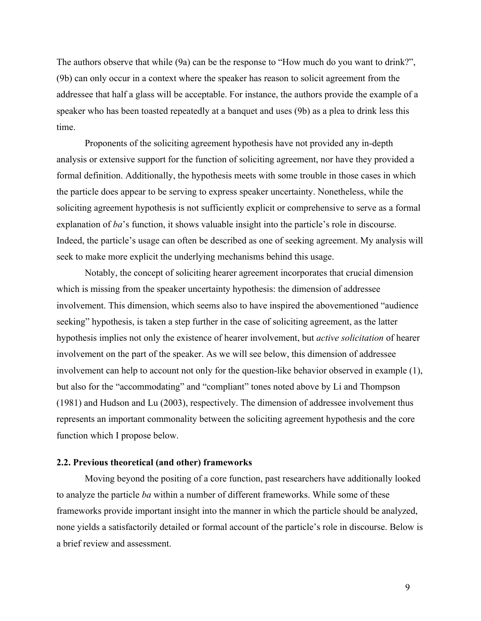The authors observe that while (9a) can be the response to "How much do you want to drink?", (9b) can only occur in a context where the speaker has reason to solicit agreement from the addressee that half a glass will be acceptable. For instance, the authors provide the example of a speaker who has been toasted repeatedly at a banquet and uses (9b) as a plea to drink less this time.

Proponents of the soliciting agreement hypothesis have not provided any in-depth analysis or extensive support for the function of soliciting agreement, nor have they provided a formal definition. Additionally, the hypothesis meets with some trouble in those cases in which the particle does appear to be serving to express speaker uncertainty. Nonetheless, while the soliciting agreement hypothesis is not sufficiently explicit or comprehensive to serve as a formal explanation of *ba*'s function, it shows valuable insight into the particle's role in discourse. Indeed, the particle's usage can often be described as one of seeking agreement. My analysis will seek to make more explicit the underlying mechanisms behind this usage.

Notably, the concept of soliciting hearer agreement incorporates that crucial dimension which is missing from the speaker uncertainty hypothesis: the dimension of addressee involvement. This dimension, which seems also to have inspired the abovementioned "audience seeking" hypothesis, is taken a step further in the case of soliciting agreement, as the latter hypothesis implies not only the existence of hearer involvement, but *active solicitation* of hearer involvement on the part of the speaker. As we will see below, this dimension of addressee involvement can help to account not only for the question-like behavior observed in example (1), but also for the "accommodating" and "compliant" tones noted above by Li and Thompson (1981) and Hudson and Lu (2003), respectively. The dimension of addressee involvement thus represents an important commonality between the soliciting agreement hypothesis and the core function which I propose below.

### **2.2. Previous theoretical (and other) frameworks**

Moving beyond the positing of a core function, past researchers have additionally looked to analyze the particle *ba* within a number of different frameworks. While some of these frameworks provide important insight into the manner in which the particle should be analyzed, none yields a satisfactorily detailed or formal account of the particle's role in discourse. Below is a brief review and assessment.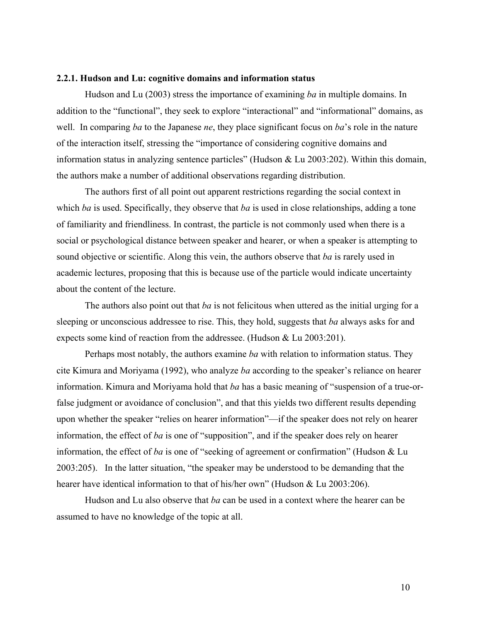#### **2.2.1. Hudson and Lu: cognitive domains and information status**

Hudson and Lu (2003) stress the importance of examining *ba* in multiple domains. In addition to the "functional", they seek to explore "interactional" and "informational" domains, as well. In comparing *ba* to the Japanese *ne*, they place significant focus on *ba*'s role in the nature of the interaction itself, stressing the "importance of considering cognitive domains and information status in analyzing sentence particles" (Hudson & Lu 2003:202). Within this domain, the authors make a number of additional observations regarding distribution.

The authors first of all point out apparent restrictions regarding the social context in which *ba* is used. Specifically, they observe that *ba* is used in close relationships, adding a tone of familiarity and friendliness. In contrast, the particle is not commonly used when there is a social or psychological distance between speaker and hearer, or when a speaker is attempting to sound objective or scientific. Along this vein, the authors observe that *ba* is rarely used in academic lectures, proposing that this is because use of the particle would indicate uncertainty about the content of the lecture.

The authors also point out that *ba* is not felicitous when uttered as the initial urging for a sleeping or unconscious addressee to rise. This, they hold, suggests that *ba* always asks for and expects some kind of reaction from the addressee. (Hudson & Lu 2003:201).

Perhaps most notably, the authors examine *ba* with relation to information status. They cite Kimura and Moriyama (1992), who analyze *ba* according to the speaker's reliance on hearer information. Kimura and Moriyama hold that *ba* has a basic meaning of "suspension of a true-orfalse judgment or avoidance of conclusion", and that this yields two different results depending upon whether the speaker "relies on hearer information"—if the speaker does not rely on hearer information, the effect of *ba* is one of "supposition", and if the speaker does rely on hearer information, the effect of *ba* is one of "seeking of agreement or confirmation" (Hudson & Lu 2003:205). In the latter situation, "the speaker may be understood to be demanding that the hearer have identical information to that of his/her own" (Hudson & Lu 2003:206).

Hudson and Lu also observe that *ba* can be used in a context where the hearer can be assumed to have no knowledge of the topic at all.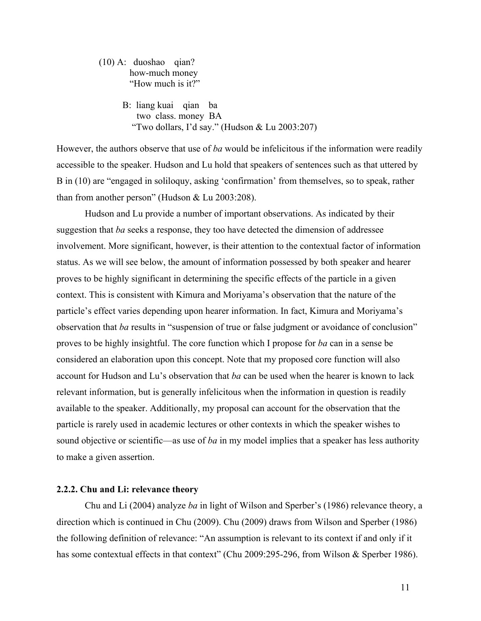(10) A: duoshao qian? how-much money "How much is it?"

> B: liang kuai qian ba two class. money BA "Two dollars, I'd say." (Hudson & Lu 2003:207)

However, the authors observe that use of *ba* would be infelicitous if the information were readily accessible to the speaker. Hudson and Lu hold that speakers of sentences such as that uttered by B in (10) are "engaged in soliloquy, asking 'confirmation' from themselves, so to speak, rather than from another person" (Hudson & Lu 2003:208).

Hudson and Lu provide a number of important observations. As indicated by their suggestion that *ba* seeks a response, they too have detected the dimension of addressee involvement. More significant, however, is their attention to the contextual factor of information status. As we will see below, the amount of information possessed by both speaker and hearer proves to be highly significant in determining the specific effects of the particle in a given context. This is consistent with Kimura and Moriyama's observation that the nature of the particle's effect varies depending upon hearer information. In fact, Kimura and Moriyama's observation that *ba* results in "suspension of true or false judgment or avoidance of conclusion" proves to be highly insightful. The core function which I propose for *ba* can in a sense be considered an elaboration upon this concept. Note that my proposed core function will also account for Hudson and Lu's observation that *ba* can be used when the hearer is known to lack relevant information, but is generally infelicitous when the information in question is readily available to the speaker. Additionally, my proposal can account for the observation that the particle is rarely used in academic lectures or other contexts in which the speaker wishes to sound objective or scientific—as use of *ba* in my model implies that a speaker has less authority to make a given assertion.

### **2.2.2. Chu and Li: relevance theory**

Chu and Li (2004) analyze *ba* in light of Wilson and Sperber's (1986) relevance theory, a direction which is continued in Chu (2009). Chu (2009) draws from Wilson and Sperber (1986) the following definition of relevance: "An assumption is relevant to its context if and only if it has some contextual effects in that context" (Chu 2009:295-296, from Wilson & Sperber 1986).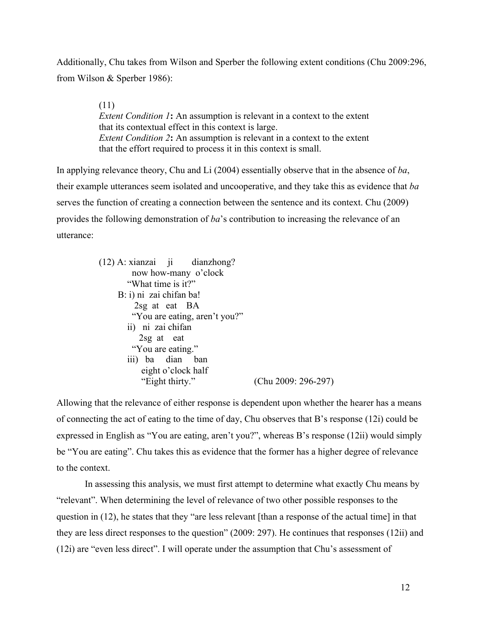Additionally, Chu takes from Wilson and Sperber the following extent conditions (Chu 2009:296, from Wilson & Sperber 1986):

> (11) *Extent Condition 1***:** An assumption is relevant in a context to the extent that its contextual effect in this context is large. *Extent Condition 2***:** An assumption is relevant in a context to the extent that the effort required to process it in this context is small.

In applying relevance theory, Chu and Li (2004) essentially observe that in the absence of *ba*, their example utterances seem isolated and uncooperative, and they take this as evidence that *ba* serves the function of creating a connection between the sentence and its context. Chu (2009) provides the following demonstration of *ba*'s contribution to increasing the relevance of an utterance:

| $(12)$ A: xianzai ji dianzhong? |                       |
|---------------------------------|-----------------------|
| now how-many o'clock            |                       |
| "What time is it?"              |                       |
| B: i) ni zai chifan ba!         |                       |
| $2sg$ at eat BA                 |                       |
| "You are eating, aren't you?"   |                       |
| ii) ni zai chifan               |                       |
| $2sg$ at eat                    |                       |
| "You are eating."               |                       |
| iii) ba dian ban                |                       |
| eight o'clock half              |                       |
| "Eight thirty."                 | $(Chu 2009: 296-297)$ |
|                                 |                       |

Allowing that the relevance of either response is dependent upon whether the hearer has a means of connecting the act of eating to the time of day, Chu observes that B's response (12i) could be expressed in English as "You are eating, aren't you?", whereas B's response (12ii) would simply be "You are eating". Chu takes this as evidence that the former has a higher degree of relevance to the context.

In assessing this analysis, we must first attempt to determine what exactly Chu means by "relevant". When determining the level of relevance of two other possible responses to the question in (12), he states that they "are less relevant [than a response of the actual time] in that they are less direct responses to the question" (2009: 297). He continues that responses (12ii) and (12i) are "even less direct". I will operate under the assumption that Chu's assessment of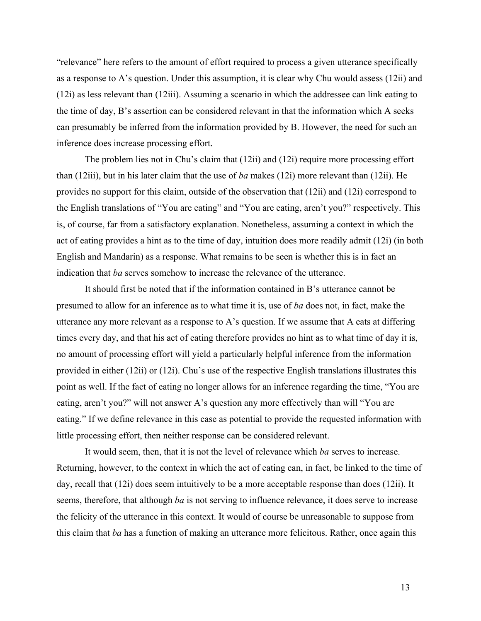"relevance" here refers to the amount of effort required to process a given utterance specifically as a response to A's question. Under this assumption, it is clear why Chu would assess (12ii) and (12i) as less relevant than (12iii). Assuming a scenario in which the addressee can link eating to the time of day, B's assertion can be considered relevant in that the information which A seeks can presumably be inferred from the information provided by B. However, the need for such an inference does increase processing effort.

The problem lies not in Chu's claim that (12ii) and (12i) require more processing effort than (12iii), but in his later claim that the use of *ba* makes (12i) more relevant than (12ii). He provides no support for this claim, outside of the observation that (12ii) and (12i) correspond to the English translations of "You are eating" and "You are eating, aren't you?" respectively. This is, of course, far from a satisfactory explanation. Nonetheless, assuming a context in which the act of eating provides a hint as to the time of day, intuition does more readily admit (12i) (in both English and Mandarin) as a response. What remains to be seen is whether this is in fact an indication that *ba* serves somehow to increase the relevance of the utterance.

It should first be noted that if the information contained in B's utterance cannot be presumed to allow for an inference as to what time it is, use of *ba* does not, in fact, make the utterance any more relevant as a response to A's question. If we assume that A eats at differing times every day, and that his act of eating therefore provides no hint as to what time of day it is, no amount of processing effort will yield a particularly helpful inference from the information provided in either (12ii) or (12i). Chu's use of the respective English translations illustrates this point as well. If the fact of eating no longer allows for an inference regarding the time, "You are eating, aren't you?" will not answer A's question any more effectively than will "You are eating." If we define relevance in this case as potential to provide the requested information with little processing effort, then neither response can be considered relevant.

It would seem, then, that it is not the level of relevance which *ba* serves to increase. Returning, however, to the context in which the act of eating can, in fact, be linked to the time of day, recall that (12i) does seem intuitively to be a more acceptable response than does (12ii). It seems, therefore, that although *ba* is not serving to influence relevance, it does serve to increase the felicity of the utterance in this context. It would of course be unreasonable to suppose from this claim that *ba* has a function of making an utterance more felicitous. Rather, once again this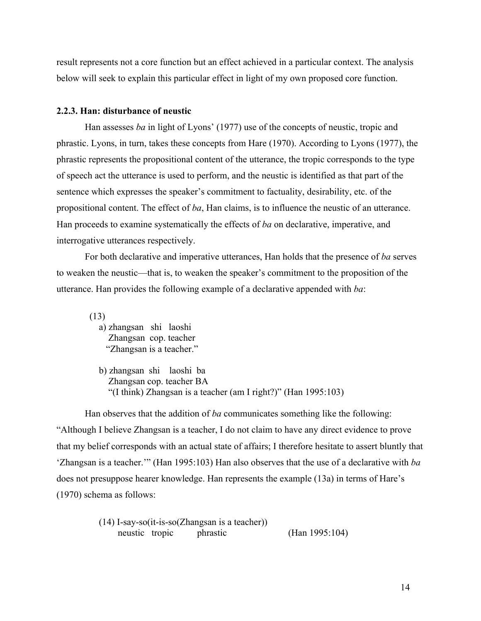result represents not a core function but an effect achieved in a particular context. The analysis below will seek to explain this particular effect in light of my own proposed core function.

### **2.2.3. Han: disturbance of neustic**

Han assesses *ba* in light of Lyons' (1977) use of the concepts of neustic, tropic and phrastic. Lyons, in turn, takes these concepts from Hare (1970). According to Lyons (1977), the phrastic represents the propositional content of the utterance, the tropic corresponds to the type of speech act the utterance is used to perform, and the neustic is identified as that part of the sentence which expresses the speaker's commitment to factuality, desirability, etc. of the propositional content. The effect of *ba*, Han claims, is to influence the neustic of an utterance. Han proceeds to examine systematically the effects of *ba* on declarative, imperative, and interrogative utterances respectively.

For both declarative and imperative utterances, Han holds that the presence of *ba* serves to weaken the neustic—that is, to weaken the speaker's commitment to the proposition of the utterance. Han provides the following example of a declarative appended with *ba*:

 (13) a) zhangsan shi laoshi Zhangsan cop. teacher "Zhangsan is a teacher."

b) zhangsan shi laoshi ba Zhangsan cop. teacher BA "(I think) Zhangsan is a teacher (am I right?)" (Han 1995:103)

Han observes that the addition of *ba* communicates something like the following: "Although I believe Zhangsan is a teacher, I do not claim to have any direct evidence to prove that my belief corresponds with an actual state of affairs; I therefore hesitate to assert bluntly that 'Zhangsan is a teacher.'" (Han 1995:103) Han also observes that the use of a declarative with *ba* does not presuppose hearer knowledge. Han represents the example (13a) in terms of Hare's (1970) schema as follows:

```
(14) I-say-so(it-is-so(Zhangsan is a teacher))
neustic tropic phrastic (Han 1995:104)
```
14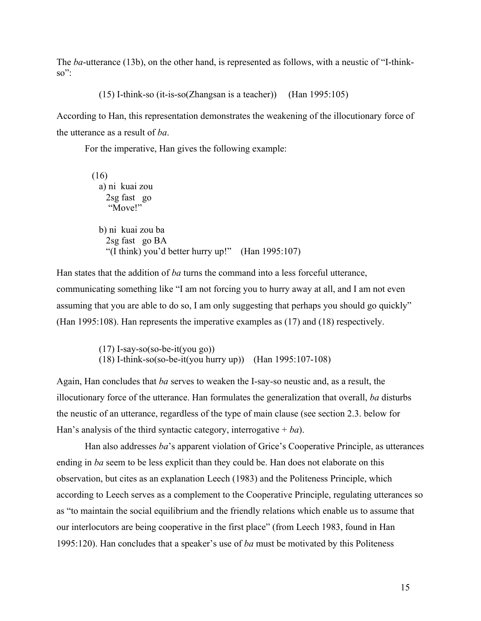The *ba*-utterance (13b), on the other hand, is represented as follows, with a neustic of "I-think- $\mathrm{SO}^{\prime\prime}$ :

(15) I-think-so (it-is-so(Zhangsan is a teacher)) (Han 1995:105)

According to Han, this representation demonstrates the weakening of the illocutionary force of the utterance as a result of *ba*.

For the imperative, Han gives the following example:

| (16)                                                 |  |
|------------------------------------------------------|--|
| a) ni kuai zou                                       |  |
| $2sg$ fast go                                        |  |
| "Move!"                                              |  |
|                                                      |  |
| b) ni kuai zou ba                                    |  |
| 2sg fast go BA                                       |  |
| "(I think) you'd better hurry up!" (Han $1995:107$ ) |  |
|                                                      |  |

Han states that the addition of *ba* turns the command into a less forceful utterance, communicating something like "I am not forcing you to hurry away at all, and I am not even assuming that you are able to do so, I am only suggesting that perhaps you should go quickly" (Han 1995:108). Han represents the imperative examples as (17) and (18) respectively.

> (17) I-say-so(so-be-it(you go)) (18) I-think-so(so-be-it(you hurry up)) (Han 1995:107-108)

Again, Han concludes that *ba* serves to weaken the I-say-so neustic and, as a result, the illocutionary force of the utterance. Han formulates the generalization that overall, *ba* disturbs the neustic of an utterance, regardless of the type of main clause (see section 2.3. below for Han's analysis of the third syntactic category, interrogative  $+ ba$ ).

Han also addresses *ba*'s apparent violation of Grice's Cooperative Principle, as utterances ending in *ba* seem to be less explicit than they could be. Han does not elaborate on this observation, but cites as an explanation Leech (1983) and the Politeness Principle, which according to Leech serves as a complement to the Cooperative Principle, regulating utterances so as "to maintain the social equilibrium and the friendly relations which enable us to assume that our interlocutors are being cooperative in the first place" (from Leech 1983, found in Han 1995:120). Han concludes that a speaker's use of *ba* must be motivated by this Politeness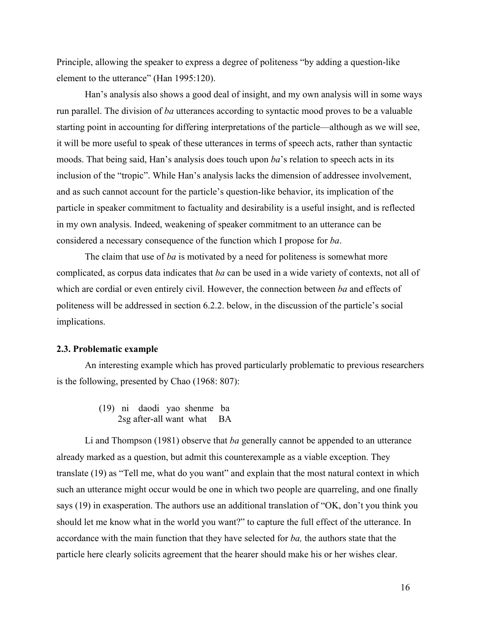Principle, allowing the speaker to express a degree of politeness "by adding a question-like element to the utterance" (Han 1995:120).

Han's analysis also shows a good deal of insight, and my own analysis will in some ways run parallel. The division of *ba* utterances according to syntactic mood proves to be a valuable starting point in accounting for differing interpretations of the particle—although as we will see, it will be more useful to speak of these utterances in terms of speech acts, rather than syntactic moods. That being said, Han's analysis does touch upon *ba*'s relation to speech acts in its inclusion of the "tropic". While Han's analysis lacks the dimension of addressee involvement, and as such cannot account for the particle's question-like behavior, its implication of the particle in speaker commitment to factuality and desirability is a useful insight, and is reflected in my own analysis. Indeed, weakening of speaker commitment to an utterance can be considered a necessary consequence of the function which I propose for *ba*.

The claim that use of *ba* is motivated by a need for politeness is somewhat more complicated, as corpus data indicates that *ba* can be used in a wide variety of contexts, not all of which are cordial or even entirely civil. However, the connection between *ba* and effects of politeness will be addressed in section 6.2.2. below, in the discussion of the particle's social implications.

### **2.3. Problematic example**

An interesting example which has proved particularly problematic to previous researchers is the following, presented by Chao (1968: 807):

> (19) ni daodi yao shenme ba 2sg after-all want what BA

Li and Thompson (1981) observe that *ba* generally cannot be appended to an utterance already marked as a question, but admit this counterexample as a viable exception. They translate (19) as "Tell me, what do you want" and explain that the most natural context in which such an utterance might occur would be one in which two people are quarreling, and one finally says (19) in exasperation. The authors use an additional translation of "OK, don't you think you should let me know what in the world you want?" to capture the full effect of the utterance. In accordance with the main function that they have selected for *ba,* the authors state that the particle here clearly solicits agreement that the hearer should make his or her wishes clear.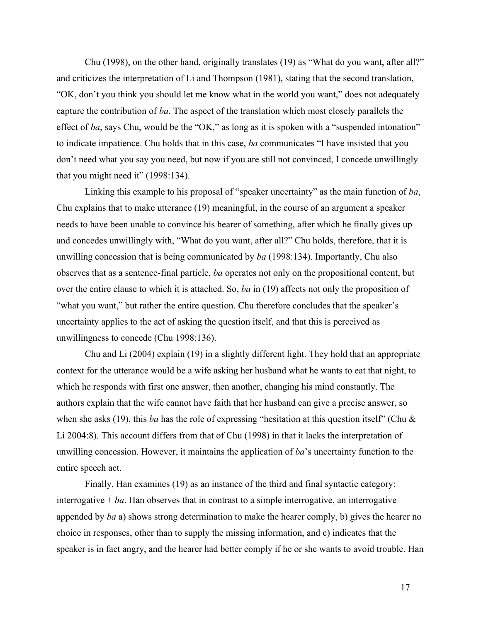Chu (1998), on the other hand, originally translates (19) as "What do you want, after all?" and criticizes the interpretation of Li and Thompson (1981), stating that the second translation, "OK, don't you think you should let me know what in the world you want," does not adequately capture the contribution of *ba*. The aspect of the translation which most closely parallels the effect of *ba*, says Chu, would be the "OK," as long as it is spoken with a "suspended intonation" to indicate impatience. Chu holds that in this case, *ba* communicates "I have insisted that you don't need what you say you need, but now if you are still not convinced, I concede unwillingly that you might need it" (1998:134).

Linking this example to his proposal of "speaker uncertainty" as the main function of *ba*, Chu explains that to make utterance (19) meaningful, in the course of an argument a speaker needs to have been unable to convince his hearer of something, after which he finally gives up and concedes unwillingly with, "What do you want, after all?" Chu holds, therefore, that it is unwilling concession that is being communicated by *ba* (1998:134). Importantly, Chu also observes that as a sentence-final particle, *ba* operates not only on the propositional content, but over the entire clause to which it is attached. So, *ba* in (19) affects not only the proposition of "what you want," but rather the entire question. Chu therefore concludes that the speaker's uncertainty applies to the act of asking the question itself, and that this is perceived as unwillingness to concede (Chu 1998:136).

Chu and Li (2004) explain (19) in a slightly different light. They hold that an appropriate context for the utterance would be a wife asking her husband what he wants to eat that night, to which he responds with first one answer, then another, changing his mind constantly. The authors explain that the wife cannot have faith that her husband can give a precise answer, so when she asks (19), this *ba* has the role of expressing "hesitation at this question itself" (Chu & Li 2004:8). This account differs from that of Chu (1998) in that it lacks the interpretation of unwilling concession. However, it maintains the application of *ba*'s uncertainty function to the entire speech act.

Finally, Han examines (19) as an instance of the third and final syntactic category: interrogative  $+ ba$ . Han observes that in contrast to a simple interrogative, an interrogative appended by *ba* a) shows strong determination to make the hearer comply, b) gives the hearer no choice in responses, other than to supply the missing information, and c) indicates that the speaker is in fact angry, and the hearer had better comply if he or she wants to avoid trouble. Han

17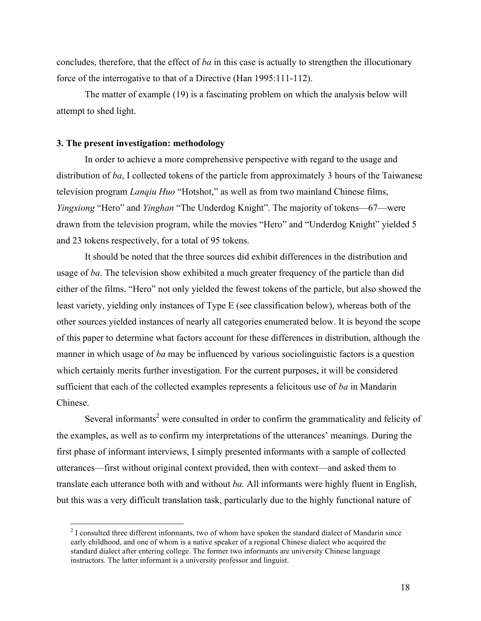concludes, therefore, that the effect of *ba* in this case is actually to strengthen the illocutionary force of the interrogative to that of a Directive (Han 1995:111-112).

The matter of example (19) is a fascinating problem on which the analysis below will attempt to shed light.

### **3. The present investigation: methodology**

In order to achieve a more comprehensive perspective with regard to the usage and distribution of *ba*, I collected tokens of the particle from approximately 3 hours of the Taiwanese television program *Lanqiu Huo* "Hotshot," as well as from two mainland Chinese films, *Yingxiong* "Hero" and *Yinghan* "The Underdog Knight". The majority of tokens—67—were drawn from the television program, while the movies "Hero" and "Underdog Knight" yielded 5 and 23 tokens respectively, for a total of 95 tokens.

It should be noted that the three sources did exhibit differences in the distribution and usage of *ba*. The television show exhibited a much greater frequency of the particle than did either of the films. "Hero" not only yielded the fewest tokens of the particle, but also showed the least variety, yielding only instances of Type E (see classification below), whereas both of the other sources yielded instances of nearly all categories enumerated below. It is beyond the scope of this paper to determine what factors account for these differences in distribution, although the manner in which usage of *ba* may be influenced by various sociolinguistic factors is a question which certainly merits further investigation. For the current purposes, it will be considered sufficient that each of the collected examples represents a felicitous use of *ba* in Mandarin Chinese.

Several informants<sup>2</sup> were consulted in order to confirm the grammaticality and felicity of the examples, as well as to confirm my interpretations of the utterances' meanings. During the first phase of informant interviews, I simply presented informants with a sample of collected utterances—first without original context provided, then with context—and asked them to translate each utterance both with and without *ba.* All informants were highly fluent in English, but this was a very difficult translation task, particularly due to the highly functional nature of

 $2$  I consulted three different informants, two of whom have spoken the standard dialect of Mandarin since early childhood, and one of whom is a native speaker of a regional Chinese dialect who acquired the standard dialect after entering college. The former two informants are university Chinese language instructors. The latter informant is a university professor and linguist.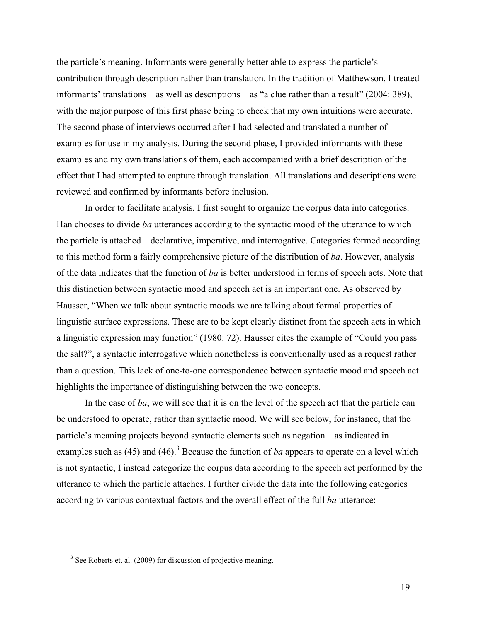the particle's meaning. Informants were generally better able to express the particle's contribution through description rather than translation. In the tradition of Matthewson, I treated informants' translations—as well as descriptions—as "a clue rather than a result" (2004: 389), with the major purpose of this first phase being to check that my own intuitions were accurate. The second phase of interviews occurred after I had selected and translated a number of examples for use in my analysis. During the second phase, I provided informants with these examples and my own translations of them, each accompanied with a brief description of the effect that I had attempted to capture through translation. All translations and descriptions were reviewed and confirmed by informants before inclusion.

In order to facilitate analysis, I first sought to organize the corpus data into categories. Han chooses to divide *ba* utterances according to the syntactic mood of the utterance to which the particle is attached—declarative, imperative, and interrogative. Categories formed according to this method form a fairly comprehensive picture of the distribution of *ba*. However, analysis of the data indicates that the function of *ba* is better understood in terms of speech acts. Note that this distinction between syntactic mood and speech act is an important one. As observed by Hausser, "When we talk about syntactic moods we are talking about formal properties of linguistic surface expressions. These are to be kept clearly distinct from the speech acts in which a linguistic expression may function" (1980: 72). Hausser cites the example of "Could you pass the salt?", a syntactic interrogative which nonetheless is conventionally used as a request rather than a question. This lack of one-to-one correspondence between syntactic mood and speech act highlights the importance of distinguishing between the two concepts.

In the case of *ba*, we will see that it is on the level of the speech act that the particle can be understood to operate, rather than syntactic mood. We will see below, for instance, that the particle's meaning projects beyond syntactic elements such as negation—as indicated in examples such as  $(45)$  and  $(46)$ .<sup>3</sup> Because the function of *ba* appears to operate on a level which is not syntactic, I instead categorize the corpus data according to the speech act performed by the utterance to which the particle attaches. I further divide the data into the following categories according to various contextual factors and the overall effect of the full *ba* utterance:

 $3$  See Roberts et. al. (2009) for discussion of projective meaning.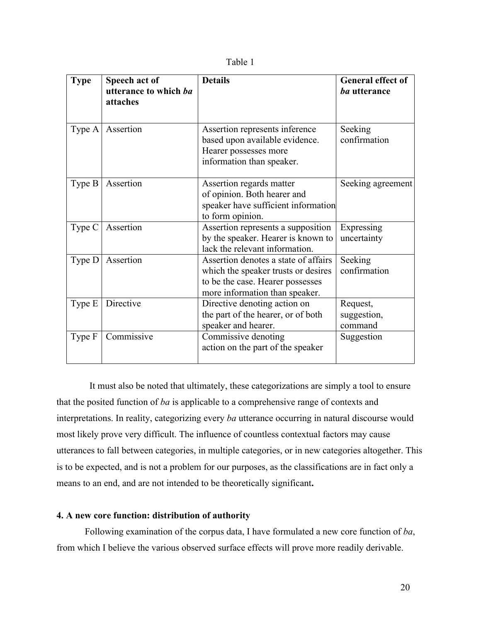|  | able |  |
|--|------|--|
|--|------|--|

| <b>Type</b> | Speech act of<br>utterance to which ba<br>attaches | <b>Details</b>                                                                                                                                    | <b>General effect of</b><br>ba utterance |
|-------------|----------------------------------------------------|---------------------------------------------------------------------------------------------------------------------------------------------------|------------------------------------------|
| Type A      | Assertion                                          | Assertion represents inference<br>based upon available evidence.<br>Hearer possesses more<br>information than speaker.                            | Seeking<br>confirmation                  |
| Type B      | Assertion                                          | Assertion regards matter<br>of opinion. Both hearer and<br>speaker have sufficient information<br>to form opinion.                                | Seeking agreement                        |
| Type C      | Assertion                                          | Assertion represents a supposition<br>by the speaker. Hearer is known to<br>lack the relevant information.                                        | Expressing<br>uncertainty                |
| Type D      | Assertion                                          | Assertion denotes a state of affairs<br>which the speaker trusts or desires<br>to be the case. Hearer possesses<br>more information than speaker. | Seeking<br>confirmation                  |
| Type E      | Directive                                          | Directive denoting action on<br>the part of the hearer, or of both<br>speaker and hearer.                                                         | Request,<br>suggestion,<br>command       |
| Type F      | Commissive                                         | Commissive denoting<br>action on the part of the speaker                                                                                          | Suggestion                               |

 It must also be noted that ultimately, these categorizations are simply a tool to ensure that the posited function of *ba* is applicable to a comprehensive range of contexts and interpretations. In reality, categorizing every *ba* utterance occurring in natural discourse would most likely prove very difficult. The influence of countless contextual factors may cause utterances to fall between categories, in multiple categories, or in new categories altogether. This is to be expected, and is not a problem for our purposes, as the classifications are in fact only a means to an end, and are not intended to be theoretically significant**.**

# **4. A new core function: distribution of authority**

Following examination of the corpus data, I have formulated a new core function of *ba*, from which I believe the various observed surface effects will prove more readily derivable.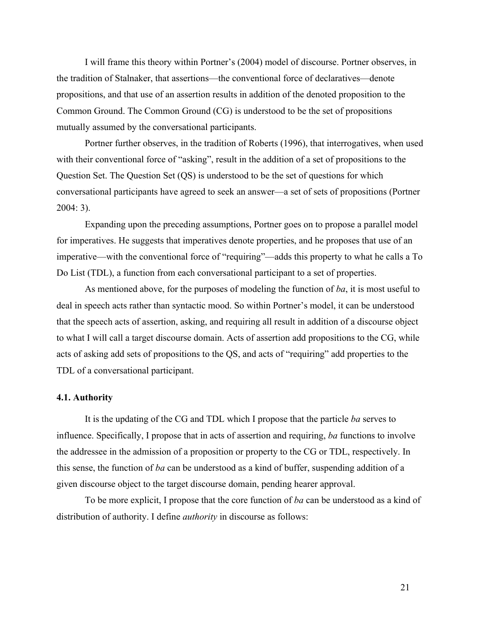I will frame this theory within Portner's (2004) model of discourse. Portner observes, in the tradition of Stalnaker, that assertions—the conventional force of declaratives—denote propositions, and that use of an assertion results in addition of the denoted proposition to the Common Ground. The Common Ground (CG) is understood to be the set of propositions mutually assumed by the conversational participants.

Portner further observes, in the tradition of Roberts (1996), that interrogatives, when used with their conventional force of "asking", result in the addition of a set of propositions to the Question Set. The Question Set (QS) is understood to be the set of questions for which conversational participants have agreed to seek an answer—a set of sets of propositions (Portner 2004: 3).

Expanding upon the preceding assumptions, Portner goes on to propose a parallel model for imperatives. He suggests that imperatives denote properties, and he proposes that use of an imperative—with the conventional force of "requiring"—adds this property to what he calls a To Do List (TDL), a function from each conversational participant to a set of properties.

As mentioned above, for the purposes of modeling the function of *ba*, it is most useful to deal in speech acts rather than syntactic mood. So within Portner's model, it can be understood that the speech acts of assertion, asking, and requiring all result in addition of a discourse object to what I will call a target discourse domain. Acts of assertion add propositions to the CG, while acts of asking add sets of propositions to the QS, and acts of "requiring" add properties to the TDL of a conversational participant.

### **4.1. Authority**

It is the updating of the CG and TDL which I propose that the particle *ba* serves to influence. Specifically, I propose that in acts of assertion and requiring, *ba* functions to involve the addressee in the admission of a proposition or property to the CG or TDL, respectively. In this sense, the function of *ba* can be understood as a kind of buffer, suspending addition of a given discourse object to the target discourse domain, pending hearer approval.

To be more explicit, I propose that the core function of *ba* can be understood as a kind of distribution of authority. I define *authority* in discourse as follows: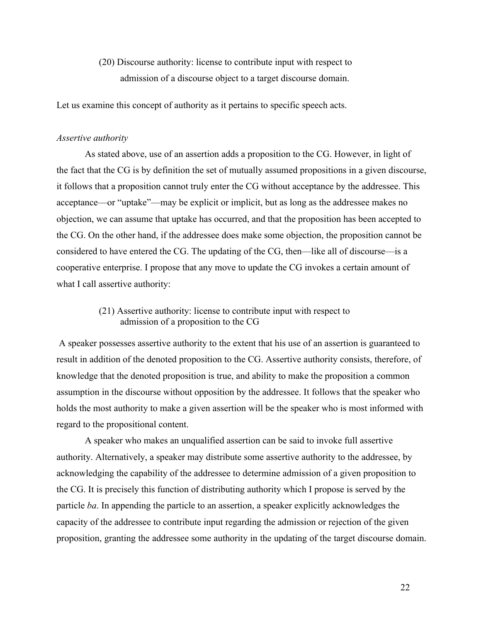(20) Discourse authority: license to contribute input with respect to admission of a discourse object to a target discourse domain.

Let us examine this concept of authority as it pertains to specific speech acts.

### *Assertive authority*

As stated above, use of an assertion adds a proposition to the CG. However, in light of the fact that the CG is by definition the set of mutually assumed propositions in a given discourse, it follows that a proposition cannot truly enter the CG without acceptance by the addressee. This acceptance—or "uptake"—may be explicit or implicit, but as long as the addressee makes no objection, we can assume that uptake has occurred, and that the proposition has been accepted to the CG. On the other hand, if the addressee does make some objection, the proposition cannot be considered to have entered the CG. The updating of the CG, then—like all of discourse—is a cooperative enterprise. I propose that any move to update the CG invokes a certain amount of what I call assertive authority:

# (21) Assertive authority: license to contribute input with respect to admission of a proposition to the CG

A speaker possesses assertive authority to the extent that his use of an assertion is guaranteed to result in addition of the denoted proposition to the CG. Assertive authority consists, therefore, of knowledge that the denoted proposition is true, and ability to make the proposition a common assumption in the discourse without opposition by the addressee. It follows that the speaker who holds the most authority to make a given assertion will be the speaker who is most informed with regard to the propositional content.

A speaker who makes an unqualified assertion can be said to invoke full assertive authority. Alternatively, a speaker may distribute some assertive authority to the addressee, by acknowledging the capability of the addressee to determine admission of a given proposition to the CG. It is precisely this function of distributing authority which I propose is served by the particle *ba*. In appending the particle to an assertion, a speaker explicitly acknowledges the capacity of the addressee to contribute input regarding the admission or rejection of the given proposition, granting the addressee some authority in the updating of the target discourse domain.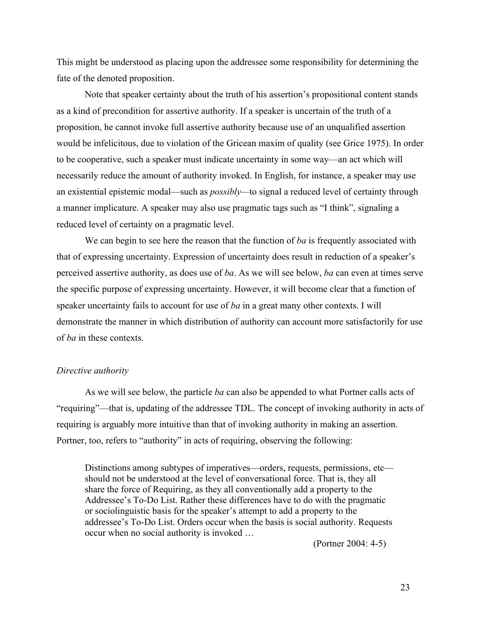This might be understood as placing upon the addressee some responsibility for determining the fate of the denoted proposition.

Note that speaker certainty about the truth of his assertion's propositional content stands as a kind of precondition for assertive authority. If a speaker is uncertain of the truth of a proposition, he cannot invoke full assertive authority because use of an unqualified assertion would be infelicitous, due to violation of the Gricean maxim of quality (see Grice 1975). In order to be cooperative, such a speaker must indicate uncertainty in some way—an act which will necessarily reduce the amount of authority invoked. In English, for instance, a speaker may use an existential epistemic modal—such as *possibly—*to signal a reduced level of certainty through a manner implicature. A speaker may also use pragmatic tags such as "I think", signaling a reduced level of certainty on a pragmatic level.

We can begin to see here the reason that the function of *ba* is frequently associated with that of expressing uncertainty. Expression of uncertainty does result in reduction of a speaker's perceived assertive authority, as does use of *ba*. As we will see below, *ba* can even at times serve the specific purpose of expressing uncertainty. However, it will become clear that a function of speaker uncertainty fails to account for use of *ba* in a great many other contexts. I will demonstrate the manner in which distribution of authority can account more satisfactorily for use of *ba* in these contexts.

### *Directive authority*

As we will see below, the particle *ba* can also be appended to what Portner calls acts of "requiring"—that is, updating of the addressee TDL. The concept of invoking authority in acts of requiring is arguably more intuitive than that of invoking authority in making an assertion. Portner, too, refers to "authority" in acts of requiring, observing the following:

Distinctions among subtypes of imperatives—orders, requests, permissions, etc should not be understood at the level of conversational force. That is, they all share the force of Requiring, as they all conventionally add a property to the Addressee's To-Do List. Rather these differences have to do with the pragmatic or sociolinguistic basis for the speaker's attempt to add a property to the addressee's To-Do List. Orders occur when the basis is social authority. Requests occur when no social authority is invoked …

(Portner 2004: 4-5)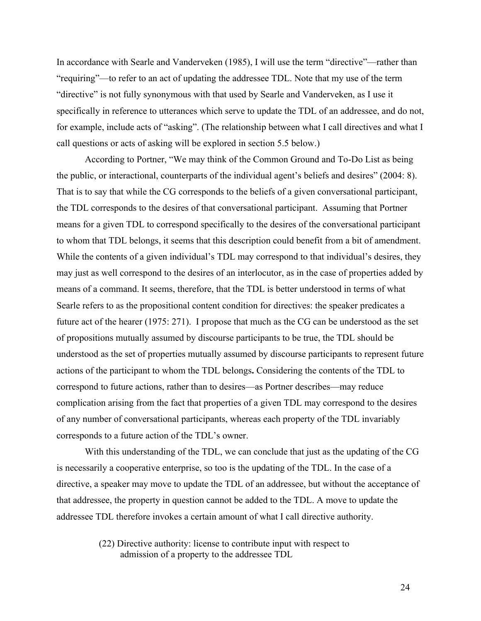In accordance with Searle and Vanderveken (1985), I will use the term "directive"—rather than "requiring"—to refer to an act of updating the addressee TDL. Note that my use of the term "directive" is not fully synonymous with that used by Searle and Vanderveken, as I use it specifically in reference to utterances which serve to update the TDL of an addressee, and do not, for example, include acts of "asking". (The relationship between what I call directives and what I call questions or acts of asking will be explored in section 5.5 below.)

According to Portner, "We may think of the Common Ground and To-Do List as being the public, or interactional, counterparts of the individual agent's beliefs and desires" (2004: 8). That is to say that while the CG corresponds to the beliefs of a given conversational participant, the TDL corresponds to the desires of that conversational participant. Assuming that Portner means for a given TDL to correspond specifically to the desires of the conversational participant to whom that TDL belongs, it seems that this description could benefit from a bit of amendment. While the contents of a given individual's TDL may correspond to that individual's desires, they may just as well correspond to the desires of an interlocutor, as in the case of properties added by means of a command. It seems, therefore, that the TDL is better understood in terms of what Searle refers to as the propositional content condition for directives: the speaker predicates a future act of the hearer (1975: 271). I propose that much as the CG can be understood as the set of propositions mutually assumed by discourse participants to be true, the TDL should be understood as the set of properties mutually assumed by discourse participants to represent future actions of the participant to whom the TDL belongs**.** Considering the contents of the TDL to correspond to future actions, rather than to desires—as Portner describes—may reduce complication arising from the fact that properties of a given TDL may correspond to the desires of any number of conversational participants, whereas each property of the TDL invariably corresponds to a future action of the TDL's owner.

With this understanding of the TDL, we can conclude that just as the updating of the CG is necessarily a cooperative enterprise, so too is the updating of the TDL. In the case of a directive, a speaker may move to update the TDL of an addressee, but without the acceptance of that addressee, the property in question cannot be added to the TDL. A move to update the addressee TDL therefore invokes a certain amount of what I call directive authority.

> (22) Directive authority: license to contribute input with respect to admission of a property to the addressee TDL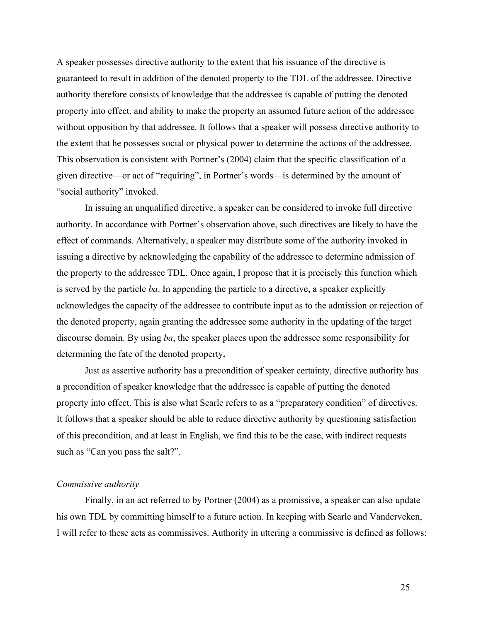A speaker possesses directive authority to the extent that his issuance of the directive is guaranteed to result in addition of the denoted property to the TDL of the addressee. Directive authority therefore consists of knowledge that the addressee is capable of putting the denoted property into effect, and ability to make the property an assumed future action of the addressee without opposition by that addressee. It follows that a speaker will possess directive authority to the extent that he possesses social or physical power to determine the actions of the addressee. This observation is consistent with Portner's (2004) claim that the specific classification of a given directive—or act of "requiring", in Portner's words—is determined by the amount of "social authority" invoked.

In issuing an unqualified directive, a speaker can be considered to invoke full directive authority. In accordance with Portner's observation above, such directives are likely to have the effect of commands. Alternatively, a speaker may distribute some of the authority invoked in issuing a directive by acknowledging the capability of the addressee to determine admission of the property to the addressee TDL. Once again, I propose that it is precisely this function which is served by the particle *ba*. In appending the particle to a directive, a speaker explicitly acknowledges the capacity of the addressee to contribute input as to the admission or rejection of the denoted property, again granting the addressee some authority in the updating of the target discourse domain. By using *ba*, the speaker places upon the addressee some responsibility for determining the fate of the denoted property**.**

Just as assertive authority has a precondition of speaker certainty, directive authority has a precondition of speaker knowledge that the addressee is capable of putting the denoted property into effect. This is also what Searle refers to as a "preparatory condition" of directives. It follows that a speaker should be able to reduce directive authority by questioning satisfaction of this precondition, and at least in English, we find this to be the case, with indirect requests such as "Can you pass the salt?".

### *Commissive authority*

Finally, in an act referred to by Portner (2004) as a promissive, a speaker can also update his own TDL by committing himself to a future action. In keeping with Searle and Vanderveken, I will refer to these acts as commissives. Authority in uttering a commissive is defined as follows: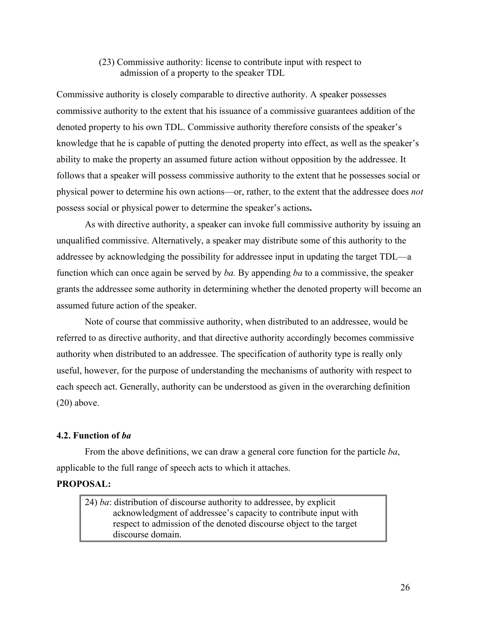# (23) Commissive authority: license to contribute input with respect to admission of a property to the speaker TDL

Commissive authority is closely comparable to directive authority. A speaker possesses commissive authority to the extent that his issuance of a commissive guarantees addition of the denoted property to his own TDL. Commissive authority therefore consists of the speaker's knowledge that he is capable of putting the denoted property into effect, as well as the speaker's ability to make the property an assumed future action without opposition by the addressee. It follows that a speaker will possess commissive authority to the extent that he possesses social or physical power to determine his own actions—or, rather, to the extent that the addressee does *not* possess social or physical power to determine the speaker's actions**.** 

As with directive authority, a speaker can invoke full commissive authority by issuing an unqualified commissive. Alternatively, a speaker may distribute some of this authority to the addressee by acknowledging the possibility for addressee input in updating the target TDL—a function which can once again be served by *ba.* By appending *ba* to a commissive, the speaker grants the addressee some authority in determining whether the denoted property will become an assumed future action of the speaker.

Note of course that commissive authority, when distributed to an addressee, would be referred to as directive authority, and that directive authority accordingly becomes commissive authority when distributed to an addressee. The specification of authority type is really only useful, however, for the purpose of understanding the mechanisms of authority with respect to each speech act. Generally, authority can be understood as given in the overarching definition  $(20)$  above.

# **4.2. Function of** *ba*

From the above definitions, we can draw a general core function for the particle *ba*, applicable to the full range of speech acts to which it attaches.

# **PROPOSAL:**

24) *ba*: distribution of discourse authority to addressee, by explicit acknowledgment of addressee's capacity to contribute input with respect to admission of the denoted discourse object to the target discourse domain.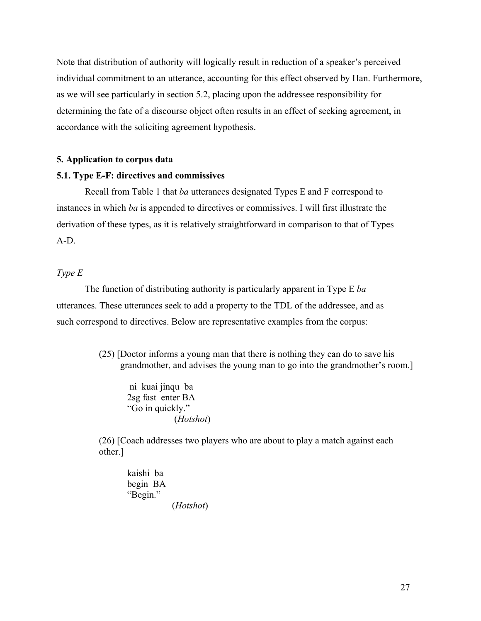Note that distribution of authority will logically result in reduction of a speaker's perceived individual commitment to an utterance, accounting for this effect observed by Han. Furthermore, as we will see particularly in section 5.2, placing upon the addressee responsibility for determining the fate of a discourse object often results in an effect of seeking agreement, in accordance with the soliciting agreement hypothesis.

### **5. Application to corpus data**

### **5.1. Type E-F: directives and commissives**

Recall from Table 1 that *ba* utterances designated Types E and F correspond to instances in which *ba* is appended to directives or commissives. I will first illustrate the derivation of these types, as it is relatively straightforward in comparison to that of Types A-D.

### *Type E*

The function of distributing authority is particularly apparent in Type E *ba* utterances. These utterances seek to add a property to the TDL of the addressee, and as such correspond to directives. Below are representative examples from the corpus:

> (25) [Doctor informs a young man that there is nothing they can do to save his grandmother, and advises the young man to go into the grandmother's room.]

ni kuai jinqu ba 2sg fast enter BA "Go in quickly." (*Hotshot*)

(26) [Coach addresses two players who are about to play a match against each other.]

kaishi ba begin BA "Begin." (*Hotshot*)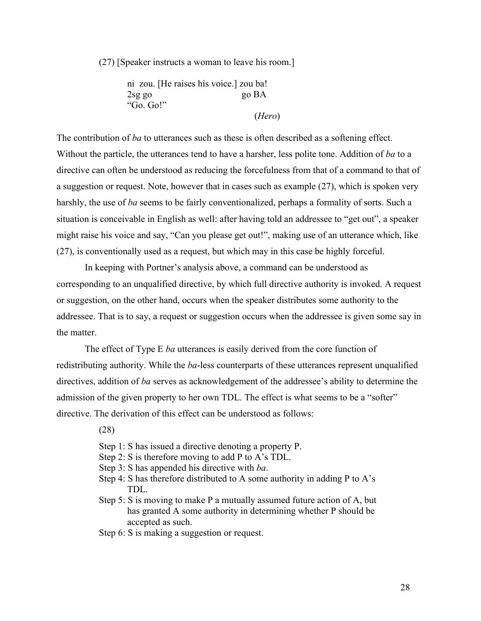(27) [Speaker instructs a woman to leave his room.]

ni zou. [He raises his voice.] zou ba! 2sg go go BA "Go. Go!"

(*Hero*)

The contribution of *ba* to utterances such as these is often described as a softening effect. Without the particle, the utterances tend to have a harsher, less polite tone. Addition of *ba* to a directive can often be understood as reducing the forcefulness from that of a command to that of a suggestion or request. Note, however that in cases such as example (27), which is spoken very harshly, the use of *ba* seems to be fairly conventionalized, perhaps a formality of sorts. Such a situation is conceivable in English as well: after having told an addressee to "get out", a speaker might raise his voice and say, "Can you please get out!", making use of an utterance which, like (27), is conventionally used as a request, but which may in this case be highly forceful.

In keeping with Portner's analysis above, a command can be understood as corresponding to an unqualified directive, by which full directive authority is invoked. A request or suggestion, on the other hand, occurs when the speaker distributes some authority to the addressee. That is to say, a request or suggestion occurs when the addressee is given some say in the matter.

The effect of Type E *ba* utterances is easily derived from the core function of redistributing authority. While the *ba*-less counterparts of these utterances represent unqualified directives, addition of *ba* serves as acknowledgement of the addressee's ability to determine the admission of the given property to her own TDL. The effect is what seems to be a "softer" directive. The derivation of this effect can be understood as follows:

(28)

- Step 1: S has issued a directive denoting a property P.
- Step 2: S is therefore moving to add P to A's TDL.
- Step 3: S has appended his directive with *ba*.
- Step 4: S has therefore distributed to A some authority in adding P to  $A$ 's TDL.
- Step 5: S is moving to make P a mutually assumed future action of A, but has granted A some authority in determining whether P should be accepted as such.
- Step 6: S is making a suggestion or request.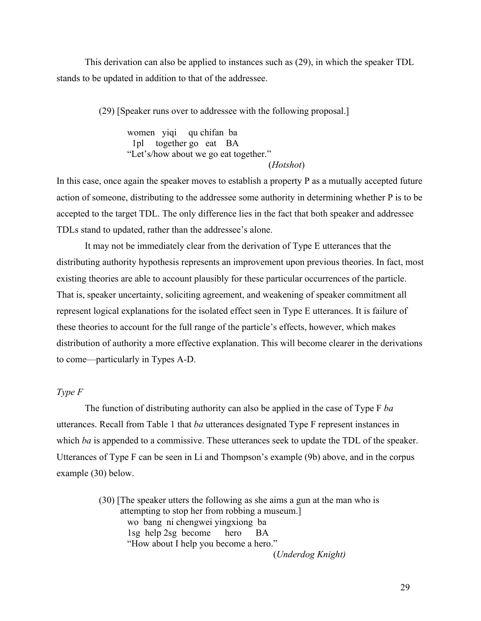This derivation can also be applied to instances such as (29), in which the speaker TDL stands to be updated in addition to that of the addressee.

(29) [Speaker runs over to addressee with the following proposal.]

women yiqi qu chifan ba 1pl together go eat BA "Let's/how about we go eat together." (*Hotshot*)

In this case, once again the speaker moves to establish a property P as a mutually accepted future action of someone, distributing to the addressee some authority in determining whether P is to be accepted to the target TDL. The only difference lies in the fact that both speaker and addressee

TDLs stand to updated, rather than the addressee's alone.

It may not be immediately clear from the derivation of Type E utterances that the distributing authority hypothesis represents an improvement upon previous theories. In fact, most existing theories are able to account plausibly for these particular occurrences of the particle. That is, speaker uncertainty, soliciting agreement, and weakening of speaker commitment all represent logical explanations for the isolated effect seen in Type E utterances. It is failure of these theories to account for the full range of the particle's effects, however, which makes distribution of authority a more effective explanation. This will become clearer in the derivations to come—particularly in Types A-D.

### *Type F*

The function of distributing authority can also be applied in the case of Type F *ba* utterances. Recall from Table 1 that *ba* utterances designated Type F represent instances in which *ba* is appended to a commissive. These utterances seek to update the TDL of the speaker. Utterances of Type F can be seen in Li and Thompson's example (9b) above, and in the corpus example (30) below.

> (30) [The speaker utters the following as she aims a gun at the man who is attempting to stop her from robbing a museum.] wo bang ni chengwei yingxiong ba 1sg help 2sg become hero BA "How about I help you become a hero." (*Underdog Knight)*

> > 29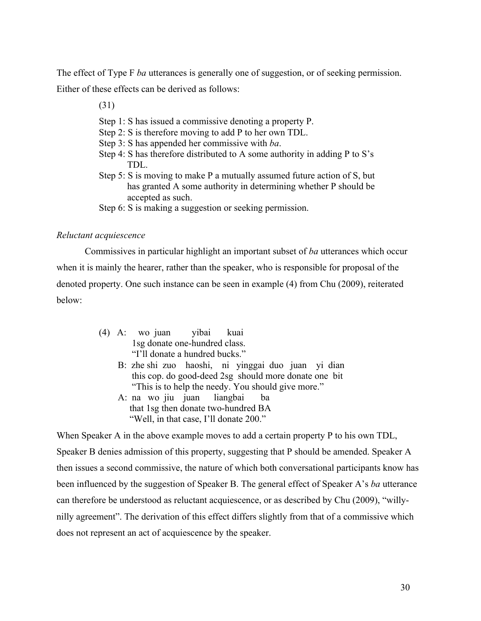The effect of Type F *ba* utterances is generally one of suggestion, or of seeking permission. Either of these effects can be derived as follows:

(31)

- Step 1: S has issued a commissive denoting a property P.
- Step 2: S is therefore moving to add P to her own TDL.
- Step 3: S has appended her commissive with *ba*.
- Step 4: S has therefore distributed to A some authority in adding P to S's TDL.
- Step 5: S is moving to make P a mutually assumed future action of S, but has granted A some authority in determining whether P should be accepted as such.
- Step 6: S is making a suggestion or seeking permission.

### *Reluctant acquiescence*

Commissives in particular highlight an important subset of *ba* utterances which occur when it is mainly the hearer, rather than the speaker, who is responsible for proposal of the denoted property. One such instance can be seen in example (4) from Chu (2009), reiterated below:

- (4) A: wo juan yibai kuai 1sg donate one-hundred class. "I'll donate a hundred bucks."
	- B: zhe shi zuo haoshi, ni yinggai duo juan yi dian this cop. do good-deed 2sg should more donate one bit "This is to help the needy. You should give more."
	- A: na wo jiu juan liangbai ba that 1sg then donate two-hundred BA "Well, in that case, I'll donate 200."

When Speaker A in the above example moves to add a certain property P to his own TDL, Speaker B denies admission of this property, suggesting that P should be amended. Speaker A then issues a second commissive, the nature of which both conversational participants know has been influenced by the suggestion of Speaker B. The general effect of Speaker A's *ba* utterance can therefore be understood as reluctant acquiescence, or as described by Chu (2009), "willynilly agreement". The derivation of this effect differs slightly from that of a commissive which does not represent an act of acquiescence by the speaker.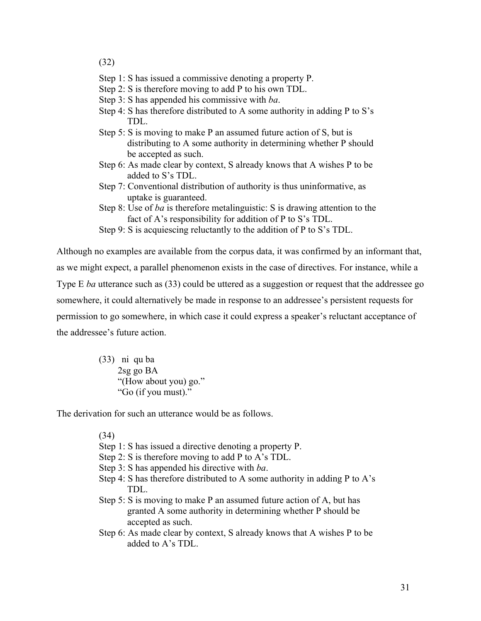# (32)

- Step 1: S has issued a commissive denoting a property P.
- Step 2: S is therefore moving to add P to his own TDL.
- Step 3: S has appended his commissive with *ba*.
- Step 4: S has therefore distributed to A some authority in adding P to S's TDL.
- Step 5: S is moving to make P an assumed future action of S, but is distributing to A some authority in determining whether P should be accepted as such.
- Step 6: As made clear by context, S already knows that A wishes P to be added to S's TDL.
- Step 7: Conventional distribution of authority is thus uninformative, as uptake is guaranteed.
- Step 8: Use of *ba* is therefore metalinguistic: S is drawing attention to the fact of A's responsibility for addition of P to S's TDL.
- Step 9: S is acquiescing reluctantly to the addition of P to S's TDL.

Although no examples are available from the corpus data, it was confirmed by an informant that, as we might expect, a parallel phenomenon exists in the case of directives. For instance, while a Type E *ba* utterance such as (33) could be uttered as a suggestion or request that the addressee go somewhere, it could alternatively be made in response to an addressee's persistent requests for permission to go somewhere, in which case it could express a speaker's reluctant acceptance of the addressee's future action.

> (33) ni qu ba 2sg go BA "(How about you) go." "Go (if you must)."

The derivation for such an utterance would be as follows.

(34)

- Step 1: S has issued a directive denoting a property P.
- Step 2: S is therefore moving to add P to A's TDL.
- Step 3: S has appended his directive with *ba*.
- Step 4: S has therefore distributed to A some authority in adding P to  $A$ 's TDL.
- Step 5: S is moving to make P an assumed future action of A, but has granted A some authority in determining whether P should be accepted as such.
- Step 6: As made clear by context, S already knows that A wishes P to be added to A's TDL.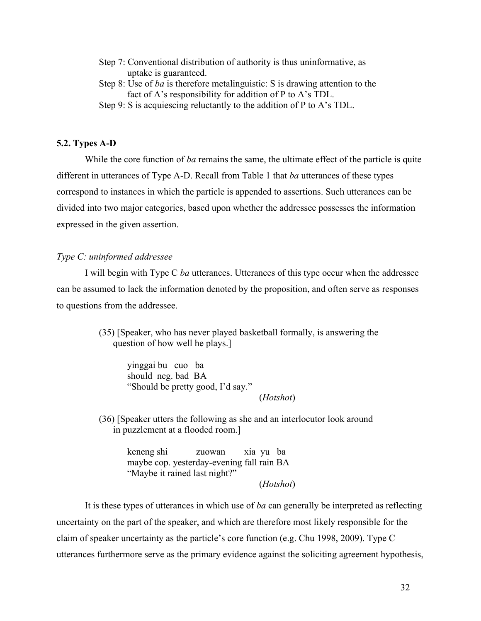- Step 7: Conventional distribution of authority is thus uninformative, as uptake is guaranteed.
- Step 8: Use of *ba* is therefore metalinguistic: S is drawing attention to the fact of A's responsibility for addition of P to A's TDL.
- Step 9: S is acquiescing reluctantly to the addition of P to A's TDL.

### **5.2. Types A-D**

While the core function of *ba* remains the same, the ultimate effect of the particle is quite different in utterances of Type A-D. Recall from Table 1 that *ba* utterances of these types correspond to instances in which the particle is appended to assertions. Such utterances can be divided into two major categories, based upon whether the addressee possesses the information expressed in the given assertion.

### *Type C: uninformed addressee*

I will begin with Type C *ba* utterances. Utterances of this type occur when the addressee can be assumed to lack the information denoted by the proposition, and often serve as responses to questions from the addressee.

> (35) [Speaker, who has never played basketball formally, is answering the question of how well he plays.]

yinggai bu cuo ba should neg. bad BA "Should be pretty good, I'd say." (*Hotshot*)

(36) [Speaker utters the following as she and an interlocutor look around in puzzlement at a flooded room.]

> keneng shi zuowan xia yu ba maybe cop. yesterday-evening fall rain BA "Maybe it rained last night?"

> > (*Hotshot*)

It is these types of utterances in which use of *ba* can generally be interpreted as reflecting uncertainty on the part of the speaker, and which are therefore most likely responsible for the claim of speaker uncertainty as the particle's core function (e.g. Chu 1998, 2009). Type C utterances furthermore serve as the primary evidence against the soliciting agreement hypothesis,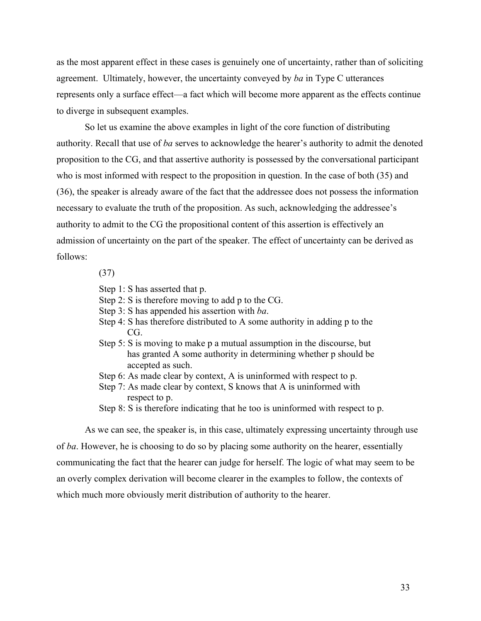as the most apparent effect in these cases is genuinely one of uncertainty, rather than of soliciting agreement. Ultimately, however, the uncertainty conveyed by *ba* in Type C utterances represents only a surface effect—a fact which will become more apparent as the effects continue to diverge in subsequent examples.

So let us examine the above examples in light of the core function of distributing authority. Recall that use of *ba* serves to acknowledge the hearer's authority to admit the denoted proposition to the CG, and that assertive authority is possessed by the conversational participant who is most informed with respect to the proposition in question. In the case of both (35) and (36), the speaker is already aware of the fact that the addressee does not possess the information necessary to evaluate the truth of the proposition. As such, acknowledging the addressee's authority to admit to the CG the propositional content of this assertion is effectively an admission of uncertainty on the part of the speaker. The effect of uncertainty can be derived as follows:

# (37)

- Step 1: S has asserted that p.
- Step 2: S is therefore moving to add p to the CG.
- Step 3: S has appended his assertion with *ba*.
- Step 4: S has therefore distributed to A some authority in adding p to the CG.
- Step 5: S is moving to make p a mutual assumption in the discourse, but has granted A some authority in determining whether p should be accepted as such.
- Step 6: As made clear by context, A is uninformed with respect to p.
- Step 7: As made clear by context, S knows that A is uninformed with respect to p.
- Step 8: S is therefore indicating that he too is uninformed with respect to p.

As we can see, the speaker is, in this case, ultimately expressing uncertainty through use of *ba*. However, he is choosing to do so by placing some authority on the hearer, essentially communicating the fact that the hearer can judge for herself. The logic of what may seem to be an overly complex derivation will become clearer in the examples to follow, the contexts of which much more obviously merit distribution of authority to the hearer.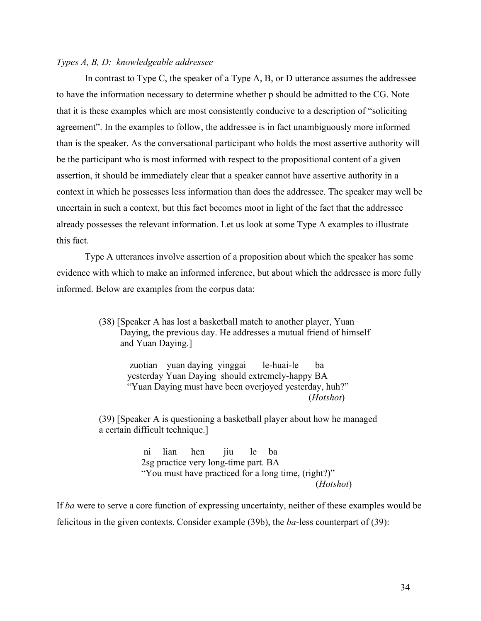### *Types A, B, D: knowledgeable addressee*

In contrast to Type C, the speaker of a Type A, B, or D utterance assumes the addressee to have the information necessary to determine whether p should be admitted to the CG. Note that it is these examples which are most consistently conducive to a description of "soliciting agreement". In the examples to follow, the addressee is in fact unambiguously more informed than is the speaker. As the conversational participant who holds the most assertive authority will be the participant who is most informed with respect to the propositional content of a given assertion, it should be immediately clear that a speaker cannot have assertive authority in a context in which he possesses less information than does the addressee. The speaker may well be uncertain in such a context, but this fact becomes moot in light of the fact that the addressee already possesses the relevant information. Let us look at some Type A examples to illustrate this fact.

Type A utterances involve assertion of a proposition about which the speaker has some evidence with which to make an informed inference, but about which the addressee is more fully informed. Below are examples from the corpus data:

> (38) [Speaker A has lost a basketball match to another player, Yuan Daying, the previous day. He addresses a mutual friend of himself and Yuan Daying.]

> > zuotian yuan daying yinggai le-huai-le ba yesterday Yuan Daying should extremely-happy BA "Yuan Daying must have been overjoyed yesterday, huh?" (*Hotshot*)

(39) [Speaker A is questioning a basketball player about how he managed a certain difficult technique.]

> ni lian hen jiu le ba 2sg practice very long-time part. BA "You must have practiced for a long time, (right?)" (*Hotshot*)

If *ba* were to serve a core function of expressing uncertainty, neither of these examples would be felicitous in the given contexts. Consider example (39b), the *ba*-less counterpart of (39):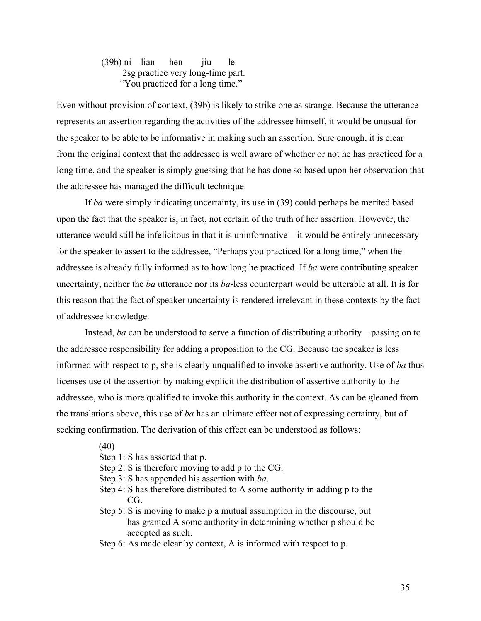(39b) ni lian hen jiu le 2sg practice very long-time part. "You practiced for a long time."

Even without provision of context, (39b) is likely to strike one as strange. Because the utterance represents an assertion regarding the activities of the addressee himself, it would be unusual for the speaker to be able to be informative in making such an assertion. Sure enough, it is clear from the original context that the addressee is well aware of whether or not he has practiced for a long time, and the speaker is simply guessing that he has done so based upon her observation that the addressee has managed the difficult technique.

If *ba* were simply indicating uncertainty, its use in (39) could perhaps be merited based upon the fact that the speaker is, in fact, not certain of the truth of her assertion. However, the utterance would still be infelicitous in that it is uninformative—it would be entirely unnecessary for the speaker to assert to the addressee, "Perhaps you practiced for a long time," when the addressee is already fully informed as to how long he practiced. If *ba* were contributing speaker uncertainty, neither the *ba* utterance nor its *ba*-less counterpart would be utterable at all. It is for this reason that the fact of speaker uncertainty is rendered irrelevant in these contexts by the fact of addressee knowledge.

Instead, *ba* can be understood to serve a function of distributing authority—passing on to the addressee responsibility for adding a proposition to the CG. Because the speaker is less informed with respect to p, she is clearly unqualified to invoke assertive authority. Use of *ba* thus licenses use of the assertion by making explicit the distribution of assertive authority to the addressee, who is more qualified to invoke this authority in the context. As can be gleaned from the translations above, this use of *ba* has an ultimate effect not of expressing certainty, but of seeking confirmation. The derivation of this effect can be understood as follows:

- (40)
- Step 1: S has asserted that p.
- Step 2: S is therefore moving to add p to the CG.
- Step 3: S has appended his assertion with *ba*.
- Step 4: S has therefore distributed to A some authority in adding p to the CG.
- Step 5: S is moving to make p a mutual assumption in the discourse, but has granted A some authority in determining whether p should be accepted as such.
- Step 6: As made clear by context, A is informed with respect to p.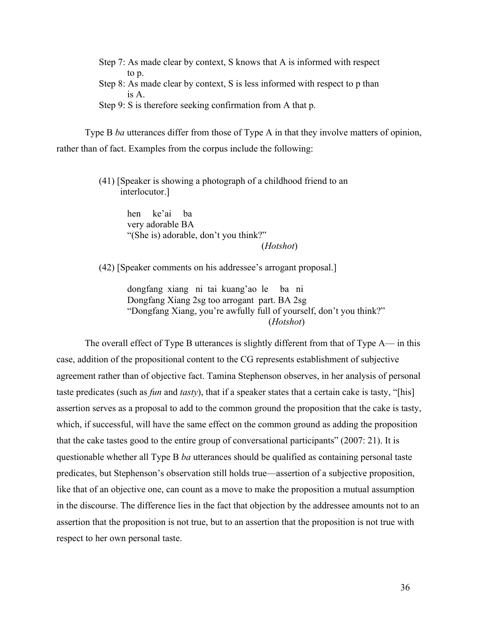Step 7: As made clear by context, S knows that A is informed with respect to p.

- Step 8: As made clear by context, S is less informed with respect to p than is A.
- Step 9: S is therefore seeking confirmation from A that p.

Type B *ba* utterances differ from those of Type A in that they involve matters of opinion, rather than of fact. Examples from the corpus include the following:

> (41) [Speaker is showing a photograph of a childhood friend to an interlocutor.]

> > hen ke'ai ba very adorable BA "(She is) adorable, don't you think?"

(*Hotshot*)

(42) [Speaker comments on his addressee's arrogant proposal.]

dongfang xiang ni tai kuang'ao le ba ni Dongfang Xiang 2sg too arrogant part. BA 2sg "Dongfang Xiang, you're awfully full of yourself, don't you think?" (*Hotshot*)

The overall effect of Type B utterances is slightly different from that of Type A— in this case, addition of the propositional content to the CG represents establishment of subjective agreement rather than of objective fact. Tamina Stephenson observes, in her analysis of personal taste predicates (such as *fun* and *tasty*), that if a speaker states that a certain cake is tasty, "[his] assertion serves as a proposal to add to the common ground the proposition that the cake is tasty, which, if successful, will have the same effect on the common ground as adding the proposition that the cake tastes good to the entire group of conversational participants" (2007: 21). It is questionable whether all Type B *ba* utterances should be qualified as containing personal taste predicates, but Stephenson's observation still holds true—assertion of a subjective proposition, like that of an objective one, can count as a move to make the proposition a mutual assumption in the discourse. The difference lies in the fact that objection by the addressee amounts not to an assertion that the proposition is not true, but to an assertion that the proposition is not true with respect to her own personal taste.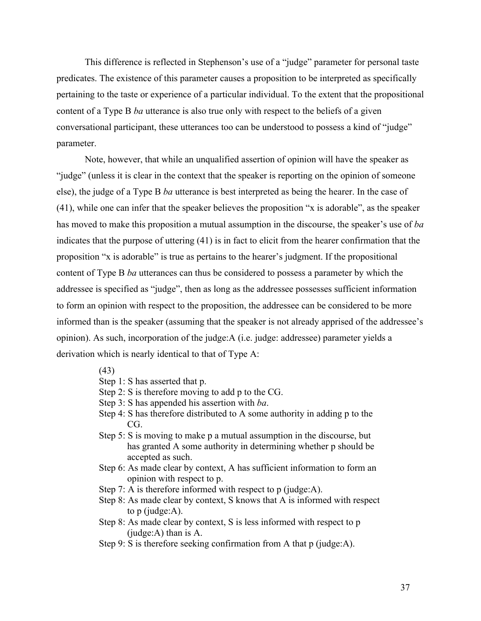This difference is reflected in Stephenson's use of a "judge" parameter for personal taste predicates. The existence of this parameter causes a proposition to be interpreted as specifically pertaining to the taste or experience of a particular individual. To the extent that the propositional content of a Type B *ba* utterance is also true only with respect to the beliefs of a given conversational participant, these utterances too can be understood to possess a kind of "judge" parameter.

Note, however, that while an unqualified assertion of opinion will have the speaker as "judge" (unless it is clear in the context that the speaker is reporting on the opinion of someone else), the judge of a Type B *ba* utterance is best interpreted as being the hearer. In the case of (41), while one can infer that the speaker believes the proposition "x is adorable", as the speaker has moved to make this proposition a mutual assumption in the discourse, the speaker's use of *ba* indicates that the purpose of uttering (41) is in fact to elicit from the hearer confirmation that the proposition "x is adorable" is true as pertains to the hearer's judgment. If the propositional content of Type B *ba* utterances can thus be considered to possess a parameter by which the addressee is specified as "judge", then as long as the addressee possesses sufficient information to form an opinion with respect to the proposition, the addressee can be considered to be more informed than is the speaker (assuming that the speaker is not already apprised of the addressee's opinion). As such, incorporation of the judge:A (i.e. judge: addressee) parameter yields a derivation which is nearly identical to that of Type A:

- Step 1: S has asserted that p.
- Step 2: S is therefore moving to add p to the CG.
- Step 3: S has appended his assertion with *ba*.
- Step 4: S has therefore distributed to A some authority in adding p to the CG.
- Step 5: S is moving to make p a mutual assumption in the discourse, but has granted A some authority in determining whether p should be accepted as such.
- Step 6: As made clear by context, A has sufficient information to form an opinion with respect to p.
- Step 7: A is therefore informed with respect to p (judge:A).
- Step 8: As made clear by context, S knows that A is informed with respect to p (judge:A).
- Step 8: As made clear by context, S is less informed with respect to p (judge:A) than is A.
- Step 9: S is therefore seeking confirmation from A that p (judge: A).

<sup>(43)</sup>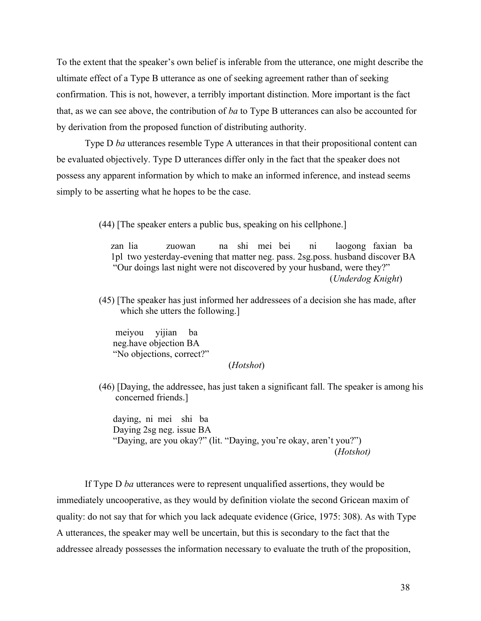To the extent that the speaker's own belief is inferable from the utterance, one might describe the ultimate effect of a Type B utterance as one of seeking agreement rather than of seeking confirmation. This is not, however, a terribly important distinction. More important is the fact that, as we can see above, the contribution of *ba* to Type B utterances can also be accounted for by derivation from the proposed function of distributing authority.

Type D *ba* utterances resemble Type A utterances in that their propositional content can be evaluated objectively. Type D utterances differ only in the fact that the speaker does not possess any apparent information by which to make an informed inference, and instead seems simply to be asserting what he hopes to be the case.

(44) [The speaker enters a public bus, speaking on his cellphone.]

 zan lia zuowan na shi mei bei ni laogong faxian ba 1pl two yesterday-evening that matter neg. pass. 2sg.poss. husband discover BA "Our doings last night were not discovered by your husband, were they?" (*Underdog Knight*)

(45) [The speaker has just informed her addressees of a decision she has made, after which she utters the following.]

meiyou yijian ba neg.have objection BA "No objections, correct?"

### (*Hotshot*)

(46) [Daying, the addressee, has just taken a significant fall. The speaker is among his concerned friends.]

daying, ni mei shi ba Daying 2sg neg. issue BA "Daying, are you okay?" (lit. "Daying, you're okay, aren't you?") (*Hotshot)*

If Type D *ba* utterances were to represent unqualified assertions, they would be immediately uncooperative, as they would by definition violate the second Gricean maxim of quality: do not say that for which you lack adequate evidence (Grice, 1975: 308). As with Type A utterances, the speaker may well be uncertain, but this is secondary to the fact that the addressee already possesses the information necessary to evaluate the truth of the proposition,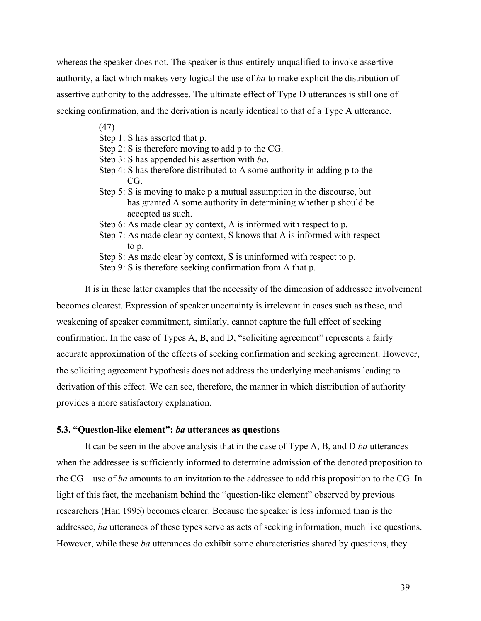whereas the speaker does not. The speaker is thus entirely unqualified to invoke assertive authority, a fact which makes very logical the use of *ba* to make explicit the distribution of assertive authority to the addressee. The ultimate effect of Type D utterances is still one of seeking confirmation, and the derivation is nearly identical to that of a Type A utterance.

(47)

- Step 1: S has asserted that p.
- Step 2: S is therefore moving to add p to the CG.
- Step 3: S has appended his assertion with *ba*.
- Step 4: S has therefore distributed to A some authority in adding p to the CG.
- Step 5: S is moving to make p a mutual assumption in the discourse, but has granted A some authority in determining whether p should be accepted as such.
- Step 6: As made clear by context, A is informed with respect to p.
- Step 7: As made clear by context, S knows that A is informed with respect to p.
- Step 8: As made clear by context, S is uninformed with respect to p.
- Step 9: S is therefore seeking confirmation from A that p.

It is in these latter examples that the necessity of the dimension of addressee involvement becomes clearest. Expression of speaker uncertainty is irrelevant in cases such as these, and weakening of speaker commitment, similarly, cannot capture the full effect of seeking confirmation. In the case of Types A, B, and D, "soliciting agreement" represents a fairly accurate approximation of the effects of seeking confirmation and seeking agreement. However, the soliciting agreement hypothesis does not address the underlying mechanisms leading to derivation of this effect. We can see, therefore, the manner in which distribution of authority provides a more satisfactory explanation.

### **5.3. "Question-like element":** *ba* **utterances as questions**

It can be seen in the above analysis that in the case of Type A, B, and D *ba* utterances when the addressee is sufficiently informed to determine admission of the denoted proposition to the CG—use of *ba* amounts to an invitation to the addressee to add this proposition to the CG. In light of this fact, the mechanism behind the "question-like element" observed by previous researchers (Han 1995) becomes clearer. Because the speaker is less informed than is the addressee, *ba* utterances of these types serve as acts of seeking information, much like questions. However, while these *ba* utterances do exhibit some characteristics shared by questions, they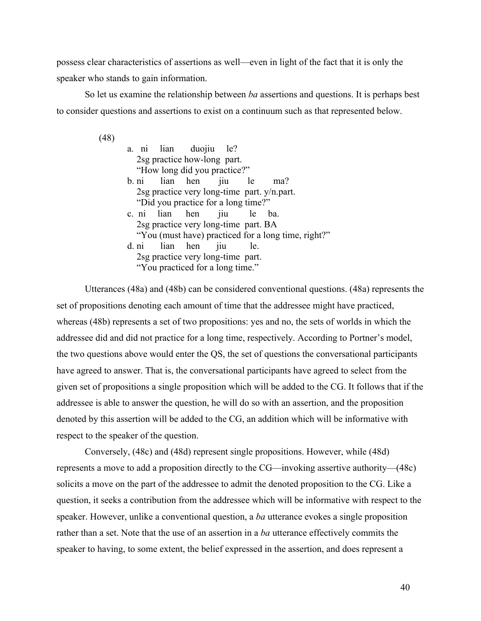possess clear characteristics of assertions as well—even in light of the fact that it is only the speaker who stands to gain information.

So let us examine the relationship between *ba* assertions and questions. It is perhaps best to consider questions and assertions to exist on a continuum such as that represented below.

(48)

|  | a. ni lian duojiu le?                         |     |                                                     |  |
|--|-----------------------------------------------|-----|-----------------------------------------------------|--|
|  | 2sg practice how-long part.                   |     |                                                     |  |
|  | "How long did you practice?"                  |     |                                                     |  |
|  | b. ni lian hen jiu le                         |     | ma?                                                 |  |
|  | 2sg practice very long-time part. $y/n$ part. |     |                                                     |  |
|  | "Did you practice for a long time?"           |     |                                                     |  |
|  | c. ni lian hen jiu le                         |     | ba.                                                 |  |
|  | 2sg practice very long-time part. BA          |     |                                                     |  |
|  |                                               |     | "You (must have) practiced for a long time, right?" |  |
|  | d. ni lian hen jiu                            | le. |                                                     |  |
|  | 2sg practice very long-time part.             |     |                                                     |  |
|  | "You practiced for a long time."              |     |                                                     |  |

Utterances (48a) and (48b) can be considered conventional questions. (48a) represents the set of propositions denoting each amount of time that the addressee might have practiced, whereas (48b) represents a set of two propositions: yes and no, the sets of worlds in which the addressee did and did not practice for a long time, respectively. According to Portner's model, the two questions above would enter the QS, the set of questions the conversational participants have agreed to answer. That is, the conversational participants have agreed to select from the given set of propositions a single proposition which will be added to the CG. It follows that if the addressee is able to answer the question, he will do so with an assertion, and the proposition denoted by this assertion will be added to the CG, an addition which will be informative with respect to the speaker of the question.

Conversely, (48c) and (48d) represent single propositions. However, while (48d) represents a move to add a proposition directly to the CG—invoking assertive authority—(48c) solicits a move on the part of the addressee to admit the denoted proposition to the CG. Like a question, it seeks a contribution from the addressee which will be informative with respect to the speaker. However, unlike a conventional question, a *ba* utterance evokes a single proposition rather than a set. Note that the use of an assertion in a *ba* utterance effectively commits the speaker to having, to some extent, the belief expressed in the assertion, and does represent a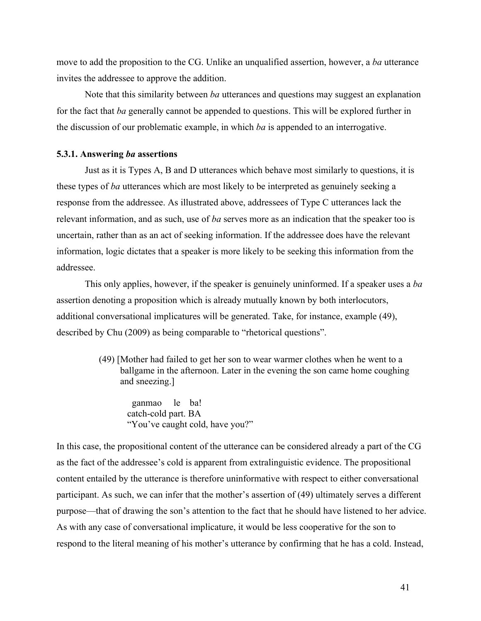move to add the proposition to the CG. Unlike an unqualified assertion, however, a *ba* utterance invites the addressee to approve the addition.

Note that this similarity between *ba* utterances and questions may suggest an explanation for the fact that *ba* generally cannot be appended to questions. This will be explored further in the discussion of our problematic example, in which *ba* is appended to an interrogative.

### **5.3.1. Answering** *ba* **assertions**

Just as it is Types A, B and D utterances which behave most similarly to questions, it is these types of *ba* utterances which are most likely to be interpreted as genuinely seeking a response from the addressee. As illustrated above, addressees of Type C utterances lack the relevant information, and as such, use of *ba* serves more as an indication that the speaker too is uncertain, rather than as an act of seeking information. If the addressee does have the relevant information, logic dictates that a speaker is more likely to be seeking this information from the addressee.

This only applies, however, if the speaker is genuinely uninformed. If a speaker uses a *ba* assertion denoting a proposition which is already mutually known by both interlocutors, additional conversational implicatures will be generated. Take, for instance, example (49), described by Chu (2009) as being comparable to "rhetorical questions".

> (49) [Mother had failed to get her son to wear warmer clothes when he went to a ballgame in the afternoon. Later in the evening the son came home coughing and sneezing.]

 ganmao le ba! catch-cold part. BA "You've caught cold, have you?"

In this case, the propositional content of the utterance can be considered already a part of the CG as the fact of the addressee's cold is apparent from extralinguistic evidence. The propositional content entailed by the utterance is therefore uninformative with respect to either conversational participant. As such, we can infer that the mother's assertion of (49) ultimately serves a different purpose—that of drawing the son's attention to the fact that he should have listened to her advice. As with any case of conversational implicature, it would be less cooperative for the son to respond to the literal meaning of his mother's utterance by confirming that he has a cold. Instead,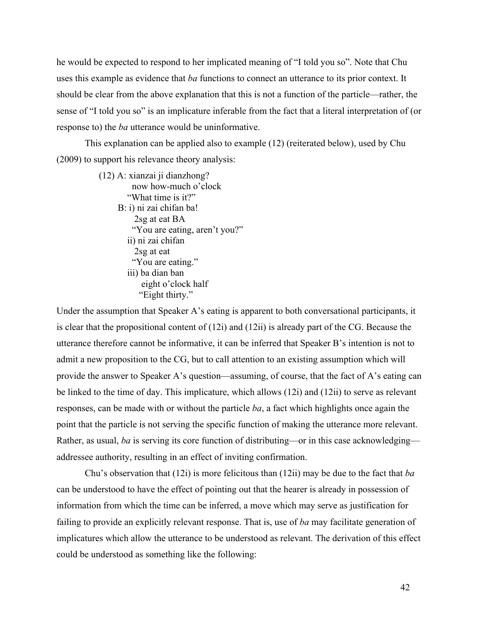he would be expected to respond to her implicated meaning of "I told you so". Note that Chu uses this example as evidence that *ba* functions to connect an utterance to its prior context. It should be clear from the above explanation that this is not a function of the particle—rather, the sense of "I told you so" is an implicature inferable from the fact that a literal interpretation of (or response to) the *ba* utterance would be uninformative.

This explanation can be applied also to example (12) (reiterated below), used by Chu (2009) to support his relevance theory analysis:

> (12) A: xianzai ji dianzhong? now how-much o'clock "What time is it?" B: i) ni zai chifan ba! 2sg at eat BA "You are eating, aren't you?" ii) ni zai chifan 2sg at eat "You are eating." iii) ba dian ban eight o'clock half "Eight thirty."

Under the assumption that Speaker A's eating is apparent to both conversational participants, it is clear that the propositional content of (12i) and (12ii) is already part of the CG. Because the utterance therefore cannot be informative, it can be inferred that Speaker B's intention is not to admit a new proposition to the CG, but to call attention to an existing assumption which will provide the answer to Speaker A's question—assuming, of course, that the fact of A's eating can be linked to the time of day. This implicature, which allows (12i) and (12ii) to serve as relevant responses, can be made with or without the particle *ba*, a fact which highlights once again the point that the particle is not serving the specific function of making the utterance more relevant. Rather, as usual, *ba* is serving its core function of distributing—or in this case acknowledging addressee authority, resulting in an effect of inviting confirmation.

Chu's observation that (12i) is more felicitous than (12ii) may be due to the fact that *ba* can be understood to have the effect of pointing out that the hearer is already in possession of information from which the time can be inferred, a move which may serve as justification for failing to provide an explicitly relevant response. That is, use of *ba* may facilitate generation of implicatures which allow the utterance to be understood as relevant. The derivation of this effect could be understood as something like the following: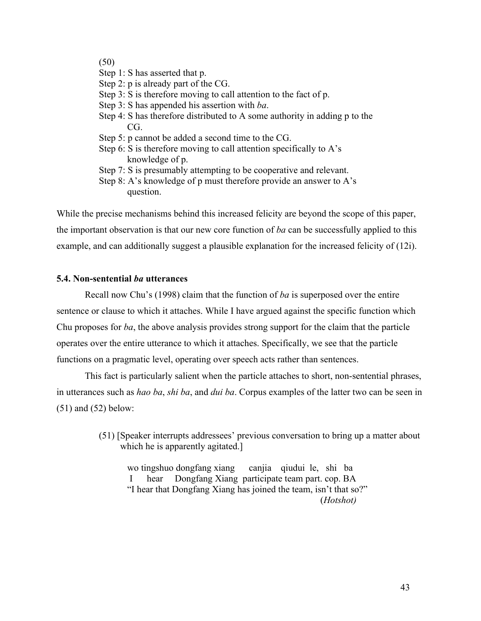# (50)

- Step 1: S has asserted that p.
- Step 2: p is already part of the CG.
- Step 3: S is therefore moving to call attention to the fact of p.
- Step 3: S has appended his assertion with *ba*.
- Step 4: S has therefore distributed to A some authority in adding p to the CG.
- Step 5: p cannot be added a second time to the CG.
- Step 6: S is therefore moving to call attention specifically to  $A$ 's knowledge of p.
- Step 7: S is presumably attempting to be cooperative and relevant.
- Step 8: A's knowledge of p must therefore provide an answer to A's question.

While the precise mechanisms behind this increased felicity are beyond the scope of this paper, the important observation is that our new core function of *ba* can be successfully applied to this example, and can additionally suggest a plausible explanation for the increased felicity of (12i).

### **5.4. Non-sentential** *ba* **utterances**

Recall now Chu's (1998) claim that the function of *ba* is superposed over the entire sentence or clause to which it attaches. While I have argued against the specific function which Chu proposes for *ba*, the above analysis provides strong support for the claim that the particle operates over the entire utterance to which it attaches. Specifically, we see that the particle functions on a pragmatic level, operating over speech acts rather than sentences.

This fact is particularly salient when the particle attaches to short, non-sentential phrases, in utterances such as *hao ba*, *shi ba*, and *dui ba*. Corpus examples of the latter two can be seen in (51) and (52) below:

> (51) [Speaker interrupts addressees' previous conversation to bring up a matter about which he is apparently agitated.]

wo tingshuo dongfang xiang canjia qiudui le, shi ba I hear Dongfang Xiang participate team part. cop. BA "I hear that Dongfang Xiang has joined the team, isn't that so?" (*Hotshot)*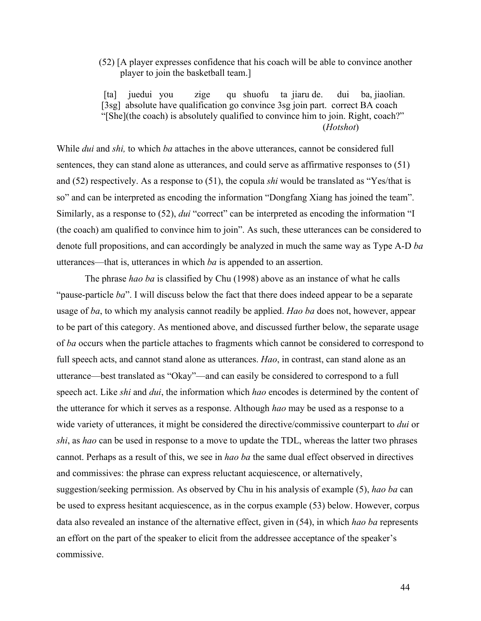(52) [A player expresses confidence that his coach will be able to convince another player to join the basketball team.]

 [ta] juedui you zige qu shuofu ta jiaru de. dui ba, jiaolian. [3sg] absolute have qualification go convince 3sg join part. correct BA coach "[She](the coach) is absolutely qualified to convince him to join. Right, coach?" (*Hotshot*)

While *dui* and *shi,* to which *ba* attaches in the above utterances, cannot be considered full sentences, they can stand alone as utterances, and could serve as affirmative responses to (51) and (52) respectively. As a response to (51), the copula *shi* would be translated as "Yes/that is so" and can be interpreted as encoding the information "Dongfang Xiang has joined the team". Similarly, as a response to (52), *dui* "correct" can be interpreted as encoding the information "I (the coach) am qualified to convince him to join". As such, these utterances can be considered to denote full propositions, and can accordingly be analyzed in much the same way as Type A-D *ba* utterances—that is, utterances in which *ba* is appended to an assertion.

The phrase *hao ba* is classified by Chu (1998) above as an instance of what he calls "pause-particle *ba*". I will discuss below the fact that there does indeed appear to be a separate usage of *ba*, to which my analysis cannot readily be applied. *Hao ba* does not, however, appear to be part of this category. As mentioned above, and discussed further below, the separate usage of *ba* occurs when the particle attaches to fragments which cannot be considered to correspond to full speech acts, and cannot stand alone as utterances. *Hao*, in contrast, can stand alone as an utterance—best translated as "Okay"—and can easily be considered to correspond to a full speech act. Like *shi* and *dui*, the information which *hao* encodes is determined by the content of the utterance for which it serves as a response. Although *hao* may be used as a response to a wide variety of utterances, it might be considered the directive/commissive counterpart to *dui* or *shi*, as *hao* can be used in response to a move to update the TDL, whereas the latter two phrases cannot. Perhaps as a result of this, we see in *hao ba* the same dual effect observed in directives and commissives: the phrase can express reluctant acquiescence, or alternatively, suggestion/seeking permission. As observed by Chu in his analysis of example (5), *hao ba* can be used to express hesitant acquiescence, as in the corpus example (53) below. However, corpus data also revealed an instance of the alternative effect, given in (54), in which *hao ba* represents an effort on the part of the speaker to elicit from the addressee acceptance of the speaker's commissive.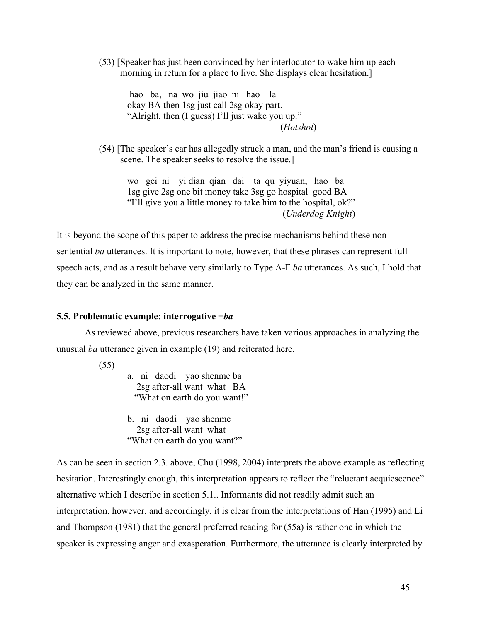(53) [Speaker has just been convinced by her interlocutor to wake him up each morning in return for a place to live. She displays clear hesitation.]

hao ba, na wo jiu jiao ni hao la okay BA then 1sg just call 2sg okay part. "Alright, then (I guess) I'll just wake you up." (*Hotshot*)

(54) [The speaker's car has allegedly struck a man, and the man's friend is causing a scene. The speaker seeks to resolve the issue.]

wo gei ni yi dian qian dai ta qu yiyuan, hao ba 1sg give 2sg one bit money take 3sg go hospital good BA "I'll give you a little money to take him to the hospital, ok?" (*Underdog Knight*)

It is beyond the scope of this paper to address the precise mechanisms behind these nonsentential *ba* utterances. It is important to note, however, that these phrases can represent full speech acts, and as a result behave very similarly to Type A-F *ba* utterances. As such, I hold that they can be analyzed in the same manner.

### **5.5. Problematic example: interrogative +***ba*

As reviewed above, previous researchers have taken various approaches in analyzing the unusual *ba* utterance given in example (19) and reiterated here.

(55)

a. ni daodi yao shenme ba 2sg after-all want what BA "What on earth do you want!"

b. ni daodi yao shenme 2sg after-all want what "What on earth do you want?"

As can be seen in section 2.3. above, Chu (1998, 2004) interprets the above example as reflecting hesitation. Interestingly enough, this interpretation appears to reflect the "reluctant acquiescence" alternative which I describe in section 5.1.. Informants did not readily admit such an interpretation, however, and accordingly, it is clear from the interpretations of Han (1995) and Li and Thompson (1981) that the general preferred reading for (55a) is rather one in which the speaker is expressing anger and exasperation. Furthermore, the utterance is clearly interpreted by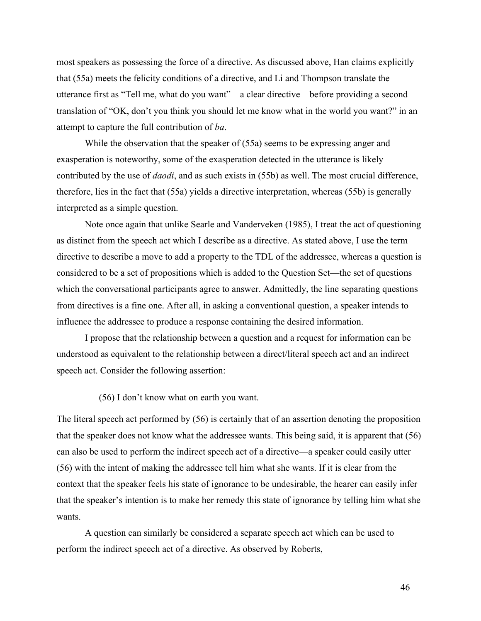most speakers as possessing the force of a directive. As discussed above, Han claims explicitly that (55a) meets the felicity conditions of a directive, and Li and Thompson translate the utterance first as "Tell me, what do you want"—a clear directive—before providing a second translation of "OK, don't you think you should let me know what in the world you want?" in an attempt to capture the full contribution of *ba*.

While the observation that the speaker of (55a) seems to be expressing anger and exasperation is noteworthy, some of the exasperation detected in the utterance is likely contributed by the use of *daodi*, and as such exists in (55b) as well. The most crucial difference, therefore, lies in the fact that (55a) yields a directive interpretation, whereas (55b) is generally interpreted as a simple question.

Note once again that unlike Searle and Vanderveken (1985), I treat the act of questioning as distinct from the speech act which I describe as a directive. As stated above, I use the term directive to describe a move to add a property to the TDL of the addressee, whereas a question is considered to be a set of propositions which is added to the Question Set—the set of questions which the conversational participants agree to answer. Admittedly, the line separating questions from directives is a fine one. After all, in asking a conventional question, a speaker intends to influence the addressee to produce a response containing the desired information.

I propose that the relationship between a question and a request for information can be understood as equivalent to the relationship between a direct/literal speech act and an indirect speech act. Consider the following assertion:

(56) I don't know what on earth you want.

The literal speech act performed by (56) is certainly that of an assertion denoting the proposition that the speaker does not know what the addressee wants. This being said, it is apparent that (56) can also be used to perform the indirect speech act of a directive—a speaker could easily utter (56) with the intent of making the addressee tell him what she wants. If it is clear from the context that the speaker feels his state of ignorance to be undesirable, the hearer can easily infer that the speaker's intention is to make her remedy this state of ignorance by telling him what she wants.

A question can similarly be considered a separate speech act which can be used to perform the indirect speech act of a directive. As observed by Roberts,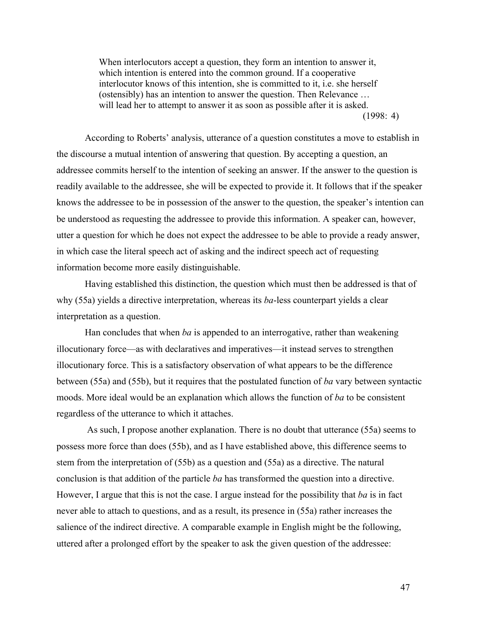When interlocutors accept a question, they form an intention to answer it, which intention is entered into the common ground. If a cooperative interlocutor knows of this intention, she is committed to it, i.e. she herself (ostensibly) has an intention to answer the question. Then Relevance … will lead her to attempt to answer it as soon as possible after it is asked.  $(1998: 4)$ 

According to Roberts' analysis, utterance of a question constitutes a move to establish in the discourse a mutual intention of answering that question. By accepting a question, an addressee commits herself to the intention of seeking an answer. If the answer to the question is readily available to the addressee, she will be expected to provide it. It follows that if the speaker knows the addressee to be in possession of the answer to the question, the speaker's intention can be understood as requesting the addressee to provide this information. A speaker can, however, utter a question for which he does not expect the addressee to be able to provide a ready answer, in which case the literal speech act of asking and the indirect speech act of requesting information become more easily distinguishable.

Having established this distinction, the question which must then be addressed is that of why (55a) yields a directive interpretation, whereas its *ba*-less counterpart yields a clear interpretation as a question.

Han concludes that when *ba* is appended to an interrogative, rather than weakening illocutionary force—as with declaratives and imperatives—it instead serves to strengthen illocutionary force. This is a satisfactory observation of what appears to be the difference between (55a) and (55b), but it requires that the postulated function of *ba* vary between syntactic moods. More ideal would be an explanation which allows the function of *ba* to be consistent regardless of the utterance to which it attaches.

As such, I propose another explanation. There is no doubt that utterance (55a) seems to possess more force than does (55b), and as I have established above, this difference seems to stem from the interpretation of (55b) as a question and (55a) as a directive. The natural conclusion is that addition of the particle *ba* has transformed the question into a directive. However, I argue that this is not the case. I argue instead for the possibility that *ba* is in fact never able to attach to questions, and as a result, its presence in (55a) rather increases the salience of the indirect directive. A comparable example in English might be the following, uttered after a prolonged effort by the speaker to ask the given question of the addressee: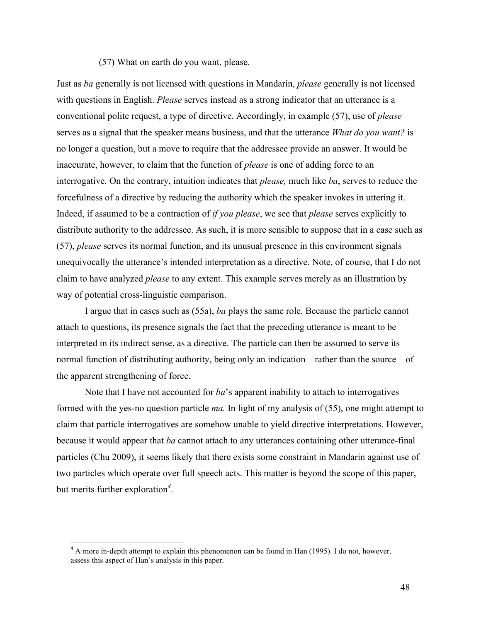### (57) What on earth do you want, please.

Just as *ba* generally is not licensed with questions in Mandarin, *please* generally is not licensed with questions in English. *Please* serves instead as a strong indicator that an utterance is a conventional polite request, a type of directive. Accordingly, in example (57), use of *please* serves as a signal that the speaker means business, and that the utterance *What do you want?* is no longer a question, but a move to require that the addressee provide an answer. It would be inaccurate, however, to claim that the function of *please* is one of adding force to an interrogative. On the contrary, intuition indicates that *please,* much like *ba*, serves to reduce the forcefulness of a directive by reducing the authority which the speaker invokes in uttering it. Indeed, if assumed to be a contraction of *if you please*, we see that *please* serves explicitly to distribute authority to the addressee. As such, it is more sensible to suppose that in a case such as (57), *please* serves its normal function, and its unusual presence in this environment signals unequivocally the utterance's intended interpretation as a directive. Note, of course, that I do not claim to have analyzed *please* to any extent. This example serves merely as an illustration by way of potential cross-linguistic comparison.

I argue that in cases such as (55a), *ba* plays the same role. Because the particle cannot attach to questions, its presence signals the fact that the preceding utterance is meant to be interpreted in its indirect sense, as a directive. The particle can then be assumed to serve its normal function of distributing authority, being only an indication—rather than the source—of the apparent strengthening of force.

Note that I have not accounted for *ba*'s apparent inability to attach to interrogatives formed with the yes-no question particle *ma.* In light of my analysis of (55), one might attempt to claim that particle interrogatives are somehow unable to yield directive interpretations. However, because it would appear that *ba* cannot attach to any utterances containing other utterance-final particles (Chu 2009), it seems likely that there exists some constraint in Mandarin against use of two particles which operate over full speech acts. This matter is beyond the scope of this paper, but merits further exploration*<sup>4</sup>* .

<sup>&</sup>lt;sup>4</sup> A more in-depth attempt to explain this phenomenon can be found in Han (1995). I do not, however, assess this aspect of Han's analysis in this paper.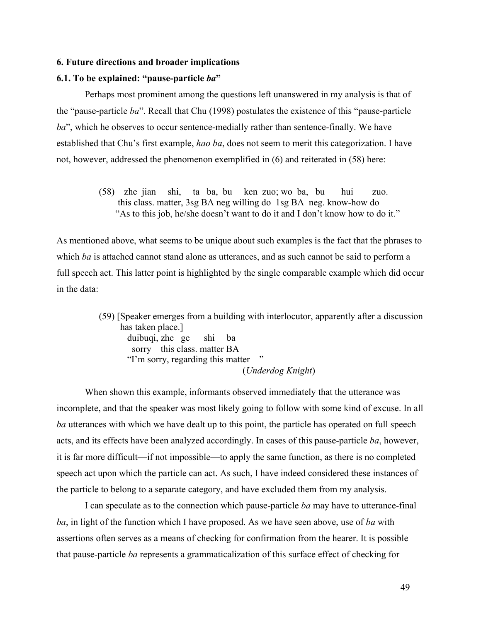#### **6. Future directions and broader implications**

#### **6.1. To be explained: "pause-particle** *ba***"**

Perhaps most prominent among the questions left unanswered in my analysis is that of the "pause-particle *ba*". Recall that Chu (1998) postulates the existence of this "pause-particle *ba*", which he observes to occur sentence-medially rather than sentence-finally. We have established that Chu's first example, *hao ba*, does not seem to merit this categorization. I have not, however, addressed the phenomenon exemplified in (6) and reiterated in (58) here:

> (58) zhe jian shi, ta ba, bu ken zuo; wo ba, bu hui zuo. this class. matter, 3sg BA neg willing do 1sg BA neg. know-how do "As to this job, he/she doesn't want to do it and I don't know how to do it."

As mentioned above, what seems to be unique about such examples is the fact that the phrases to which *ba* is attached cannot stand alone as utterances, and as such cannot be said to perform a full speech act. This latter point is highlighted by the single comparable example which did occur in the data:

> (59) [Speaker emerges from a building with interlocutor, apparently after a discussion has taken place.] duibuqi, zhe ge shi ba sorry this class. matter BA "I'm sorry, regarding this matter—" (*Underdog Knight*)

When shown this example, informants observed immediately that the utterance was incomplete, and that the speaker was most likely going to follow with some kind of excuse. In all *ba* utterances with which we have dealt up to this point, the particle has operated on full speech acts, and its effects have been analyzed accordingly. In cases of this pause-particle *ba*, however, it is far more difficult—if not impossible—to apply the same function, as there is no completed speech act upon which the particle can act. As such, I have indeed considered these instances of the particle to belong to a separate category, and have excluded them from my analysis.

I can speculate as to the connection which pause-particle *ba* may have to utterance-final *ba*, in light of the function which I have proposed. As we have seen above, use of *ba* with assertions often serves as a means of checking for confirmation from the hearer. It is possible that pause-particle *ba* represents a grammaticalization of this surface effect of checking for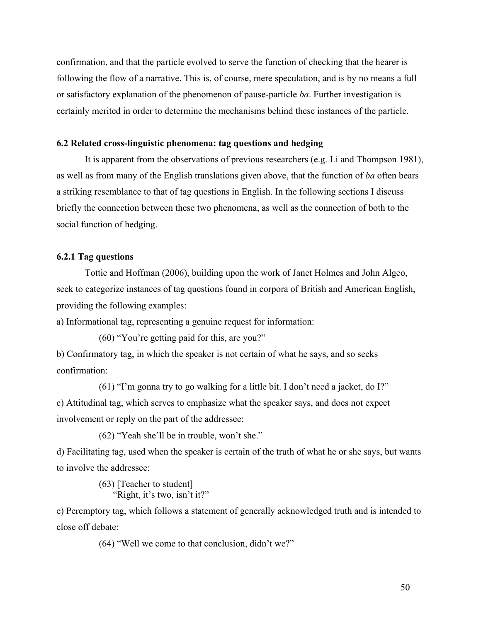confirmation, and that the particle evolved to serve the function of checking that the hearer is following the flow of a narrative. This is, of course, mere speculation, and is by no means a full or satisfactory explanation of the phenomenon of pause-particle *ba*. Further investigation is certainly merited in order to determine the mechanisms behind these instances of the particle.

### **6.2 Related cross-linguistic phenomena: tag questions and hedging**

It is apparent from the observations of previous researchers (e.g. Li and Thompson 1981), as well as from many of the English translations given above, that the function of *ba* often bears a striking resemblance to that of tag questions in English. In the following sections I discuss briefly the connection between these two phenomena, as well as the connection of both to the social function of hedging.

### **6.2.1 Tag questions**

Tottie and Hoffman (2006), building upon the work of Janet Holmes and John Algeo, seek to categorize instances of tag questions found in corpora of British and American English, providing the following examples:

a) Informational tag, representing a genuine request for information:

(60) "You're getting paid for this, are you?"

b) Confirmatory tag, in which the speaker is not certain of what he says, and so seeks confirmation:

(61) "I'm gonna try to go walking for a little bit. I don't need a jacket, do I?" c) Attitudinal tag, which serves to emphasize what the speaker says, and does not expect involvement or reply on the part of the addressee:

(62) "Yeah she'll be in trouble, won't she."

d) Facilitating tag, used when the speaker is certain of the truth of what he or she says, but wants to involve the addressee:

> (63) [Teacher to student] "Right, it's two, isn't it?"

e) Peremptory tag, which follows a statement of generally acknowledged truth and is intended to close off debate:

(64) "Well we come to that conclusion, didn't we?"

50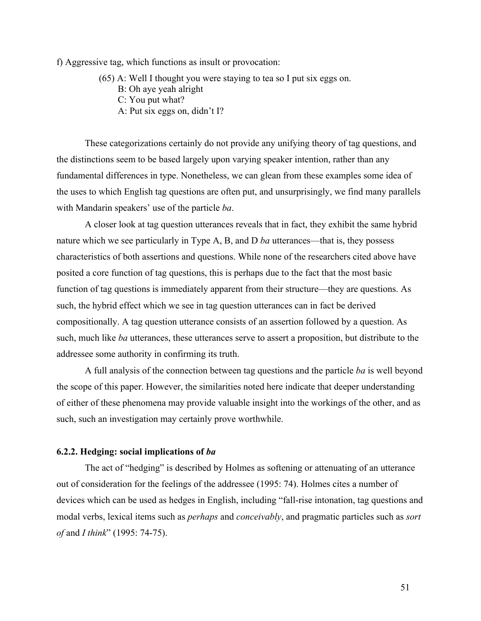f) Aggressive tag, which functions as insult or provocation:

- (65) A: Well I thought you were staying to tea so I put six eggs on.
	- B: Oh aye yeah alright
	- C: You put what?
	- A: Put six eggs on, didn't I?

These categorizations certainly do not provide any unifying theory of tag questions, and the distinctions seem to be based largely upon varying speaker intention, rather than any fundamental differences in type. Nonetheless, we can glean from these examples some idea of the uses to which English tag questions are often put, and unsurprisingly, we find many parallels with Mandarin speakers' use of the particle *ba*.

A closer look at tag question utterances reveals that in fact, they exhibit the same hybrid nature which we see particularly in Type A, B, and D *ba* utterances—that is, they possess characteristics of both assertions and questions. While none of the researchers cited above have posited a core function of tag questions, this is perhaps due to the fact that the most basic function of tag questions is immediately apparent from their structure—they are questions. As such, the hybrid effect which we see in tag question utterances can in fact be derived compositionally. A tag question utterance consists of an assertion followed by a question. As such, much like *ba* utterances, these utterances serve to assert a proposition, but distribute to the addressee some authority in confirming its truth.

A full analysis of the connection between tag questions and the particle *ba* is well beyond the scope of this paper. However, the similarities noted here indicate that deeper understanding of either of these phenomena may provide valuable insight into the workings of the other, and as such, such an investigation may certainly prove worthwhile.

#### **6.2.2. Hedging: social implications of** *ba*

The act of "hedging" is described by Holmes as softening or attenuating of an utterance out of consideration for the feelings of the addressee (1995: 74). Holmes cites a number of devices which can be used as hedges in English, including "fall-rise intonation, tag questions and modal verbs, lexical items such as *perhaps* and *conceivably*, and pragmatic particles such as *sort of* and *I think*" (1995: 74-75).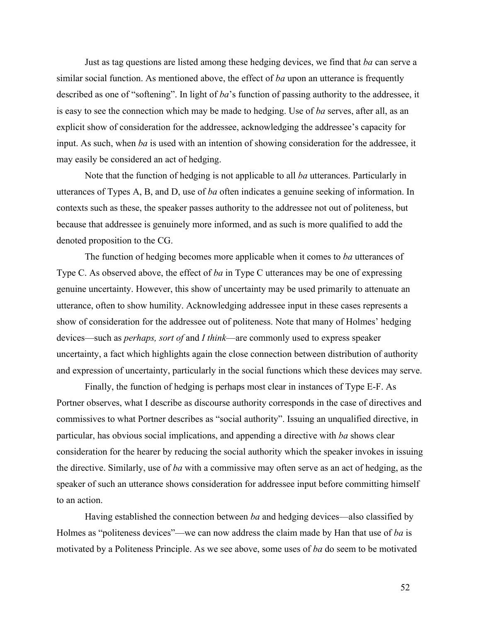Just as tag questions are listed among these hedging devices, we find that *ba* can serve a similar social function. As mentioned above, the effect of *ba* upon an utterance is frequently described as one of "softening". In light of *ba*'s function of passing authority to the addressee, it is easy to see the connection which may be made to hedging. Use of *ba* serves, after all, as an explicit show of consideration for the addressee, acknowledging the addressee's capacity for input. As such, when *ba* is used with an intention of showing consideration for the addressee, it may easily be considered an act of hedging.

Note that the function of hedging is not applicable to all *ba* utterances. Particularly in utterances of Types A, B, and D, use of *ba* often indicates a genuine seeking of information. In contexts such as these, the speaker passes authority to the addressee not out of politeness, but because that addressee is genuinely more informed, and as such is more qualified to add the denoted proposition to the CG.

The function of hedging becomes more applicable when it comes to *ba* utterances of Type C. As observed above, the effect of *ba* in Type C utterances may be one of expressing genuine uncertainty. However, this show of uncertainty may be used primarily to attenuate an utterance, often to show humility. Acknowledging addressee input in these cases represents a show of consideration for the addressee out of politeness. Note that many of Holmes' hedging devices—such as *perhaps, sort of* and *I think*—are commonly used to express speaker uncertainty, a fact which highlights again the close connection between distribution of authority and expression of uncertainty, particularly in the social functions which these devices may serve.

Finally, the function of hedging is perhaps most clear in instances of Type E-F. As Portner observes, what I describe as discourse authority corresponds in the case of directives and commissives to what Portner describes as "social authority". Issuing an unqualified directive, in particular, has obvious social implications, and appending a directive with *ba* shows clear consideration for the hearer by reducing the social authority which the speaker invokes in issuing the directive. Similarly, use of *ba* with a commissive may often serve as an act of hedging, as the speaker of such an utterance shows consideration for addressee input before committing himself to an action.

Having established the connection between *ba* and hedging devices—also classified by Holmes as "politeness devices"—we can now address the claim made by Han that use of *ba* is motivated by a Politeness Principle. As we see above, some uses of *ba* do seem to be motivated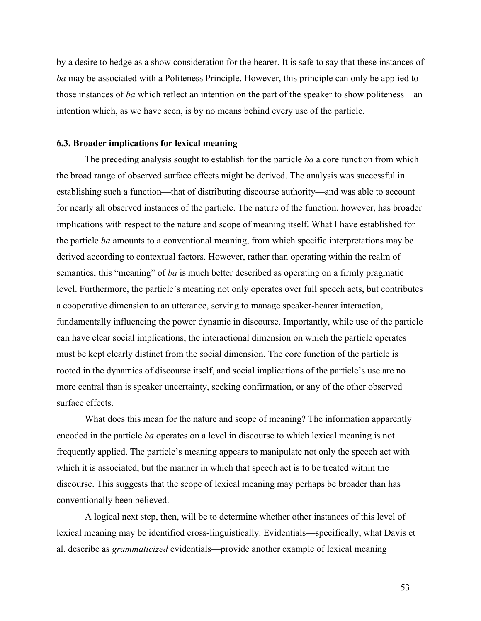by a desire to hedge as a show consideration for the hearer. It is safe to say that these instances of *ba* may be associated with a Politeness Principle. However, this principle can only be applied to those instances of *ba* which reflect an intention on the part of the speaker to show politeness—an intention which, as we have seen, is by no means behind every use of the particle.

### **6.3. Broader implications for lexical meaning**

The preceding analysis sought to establish for the particle *ba* a core function from which the broad range of observed surface effects might be derived. The analysis was successful in establishing such a function—that of distributing discourse authority—and was able to account for nearly all observed instances of the particle. The nature of the function, however, has broader implications with respect to the nature and scope of meaning itself. What I have established for the particle *ba* amounts to a conventional meaning, from which specific interpretations may be derived according to contextual factors. However, rather than operating within the realm of semantics, this "meaning" of *ba* is much better described as operating on a firmly pragmatic level. Furthermore, the particle's meaning not only operates over full speech acts, but contributes a cooperative dimension to an utterance, serving to manage speaker-hearer interaction, fundamentally influencing the power dynamic in discourse. Importantly, while use of the particle can have clear social implications, the interactional dimension on which the particle operates must be kept clearly distinct from the social dimension. The core function of the particle is rooted in the dynamics of discourse itself, and social implications of the particle's use are no more central than is speaker uncertainty, seeking confirmation, or any of the other observed surface effects.

What does this mean for the nature and scope of meaning? The information apparently encoded in the particle *ba* operates on a level in discourse to which lexical meaning is not frequently applied. The particle's meaning appears to manipulate not only the speech act with which it is associated, but the manner in which that speech act is to be treated within the discourse. This suggests that the scope of lexical meaning may perhaps be broader than has conventionally been believed.

A logical next step, then, will be to determine whether other instances of this level of lexical meaning may be identified cross-linguistically. Evidentials—specifically, what Davis et al. describe as *grammaticized* evidentials—provide another example of lexical meaning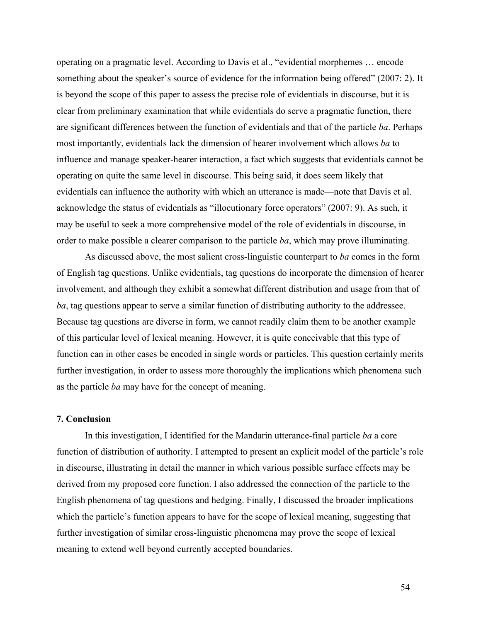operating on a pragmatic level. According to Davis et al., "evidential morphemes … encode something about the speaker's source of evidence for the information being offered" (2007: 2). It is beyond the scope of this paper to assess the precise role of evidentials in discourse, but it is clear from preliminary examination that while evidentials do serve a pragmatic function, there are significant differences between the function of evidentials and that of the particle *ba*. Perhaps most importantly, evidentials lack the dimension of hearer involvement which allows *ba* to influence and manage speaker-hearer interaction, a fact which suggests that evidentials cannot be operating on quite the same level in discourse. This being said, it does seem likely that evidentials can influence the authority with which an utterance is made—note that Davis et al. acknowledge the status of evidentials as "illocutionary force operators" (2007: 9). As such, it may be useful to seek a more comprehensive model of the role of evidentials in discourse, in order to make possible a clearer comparison to the particle *ba*, which may prove illuminating*.*

As discussed above, the most salient cross-linguistic counterpart to *ba* comes in the form of English tag questions. Unlike evidentials, tag questions do incorporate the dimension of hearer involvement, and although they exhibit a somewhat different distribution and usage from that of *ba*, tag questions appear to serve a similar function of distributing authority to the addressee. Because tag questions are diverse in form, we cannot readily claim them to be another example of this particular level of lexical meaning. However, it is quite conceivable that this type of function can in other cases be encoded in single words or particles. This question certainly merits further investigation, in order to assess more thoroughly the implications which phenomena such as the particle *ba* may have for the concept of meaning.

## **7. Conclusion**

In this investigation, I identified for the Mandarin utterance-final particle *ba* a core function of distribution of authority. I attempted to present an explicit model of the particle's role in discourse, illustrating in detail the manner in which various possible surface effects may be derived from my proposed core function. I also addressed the connection of the particle to the English phenomena of tag questions and hedging. Finally, I discussed the broader implications which the particle's function appears to have for the scope of lexical meaning, suggesting that further investigation of similar cross-linguistic phenomena may prove the scope of lexical meaning to extend well beyond currently accepted boundaries.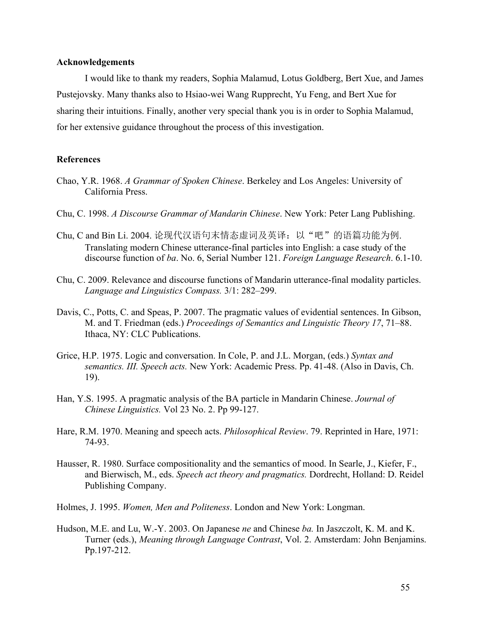### **Acknowledgements**

I would like to thank my readers, Sophia Malamud, Lotus Goldberg, Bert Xue, and James Pustejovsky. Many thanks also to Hsiao-wei Wang Rupprecht, Yu Feng, and Bert Xue for sharing their intuitions. Finally, another very special thank you is in order to Sophia Malamud, for her extensive guidance throughout the process of this investigation.

## **References**

- Chao, Y.R. 1968. *A Grammar of Spoken Chinese*. Berkeley and Los Angeles: University of California Press.
- Chu, C. 1998. *A Discourse Grammar of Mandarin Chinese*. New York: Peter Lang Publishing.
- Chu, C and Bin Li. 2004. 论现代汉语句末情态虚词及英译: 以"吧"的语篇功能为例. Translating modern Chinese utterance-final particles into English: a case study of the discourse function of *ba*. No. 6, Serial Number 121. *Foreign Language Research*. 6.1-10.
- Chu, C. 2009. Relevance and discourse functions of Mandarin utterance-final modality particles. *Language and Linguistics Compass.* 3/1: 282–299.
- Davis, C., Potts, C. and Speas, P. 2007. The pragmatic values of evidential sentences. In Gibson, M. and T. Friedman (eds.) *Proceedings of Semantics and Linguistic Theory 17*, 71–88. Ithaca, NY: CLC Publications.
- Grice, H.P. 1975. Logic and conversation. In Cole, P. and J.L. Morgan, (eds.) *Syntax and semantics. III. Speech acts.* New York: Academic Press. Pp. 41-48. (Also in Davis, Ch. 19).
- Han, Y.S. 1995. A pragmatic analysis of the BA particle in Mandarin Chinese. *Journal of Chinese Linguistics.* Vol 23 No. 2. Pp 99-127.
- Hare, R.M. 1970. Meaning and speech acts. *Philosophical Review*. 79. Reprinted in Hare, 1971: 74-93.
- Hausser, R. 1980. Surface compositionality and the semantics of mood. In Searle, J., Kiefer, F., and Bierwisch, M., eds. *Speech act theory and pragmatics.* Dordrecht, Holland: D. Reidel Publishing Company.
- Holmes, J. 1995. *Women, Men and Politeness*. London and New York: Longman.
- Hudson, M.E. and Lu, W.-Y. 2003. On Japanese *ne* and Chinese *ba.* In Jaszczolt, K. M. and K. Turner (eds.), *Meaning through Language Contrast*, Vol. 2. Amsterdam: John Benjamins. Pp.197-212.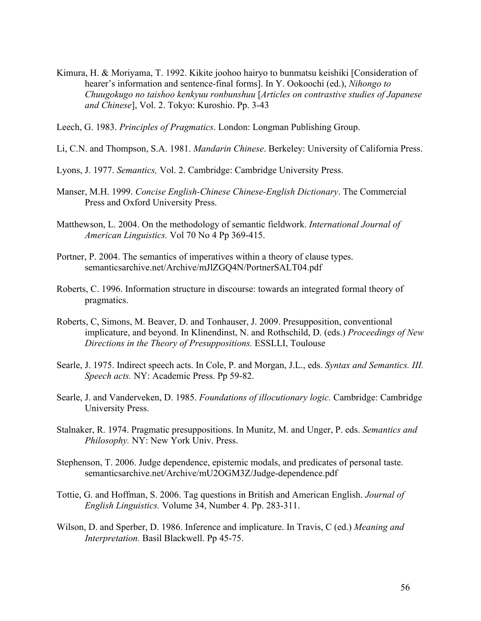- Kimura, H. & Moriyama, T. 1992. Kikite joohoo hairyo to bunmatsu keishiki [Consideration of hearer's information and sentence-final forms]. In Y. Ookoochi (ed.), *Nihongo to Chuugokugo no taishoo kenkyuu ronbunshuu* [*Articles on contrastive studies of Japanese and Chinese*], Vol. 2. Tokyo: Kuroshio. Pp. 3-43
- Leech, G. 1983. *Principles of Pragmatics*. London: Longman Publishing Group.
- Li, C.N. and Thompson, S.A. 1981. *Mandarin Chinese*. Berkeley: University of California Press.
- Lyons, J. 1977. *Semantics,* Vol. 2. Cambridge: Cambridge University Press.
- Manser, M.H. 1999. *Concise English-Chinese Chinese-English Dictionary*. The Commercial Press and Oxford University Press.
- Matthewson, L. 2004. On the methodology of semantic fieldwork. *International Journal of American Linguistics.* Vol 70 No 4 Pp 369-415.
- Portner, P. 2004. The semantics of imperatives within a theory of clause types. semanticsarchive.net/Archive/mJlZGQ4N/PortnerSALT04.pdf
- Roberts, C. 1996. Information structure in discourse: towards an integrated formal theory of pragmatics.
- Roberts, C, Simons, M. Beaver, D. and Tonhauser, J. 2009. Presupposition, conventional implicature, and beyond. In Klinendinst, N. and Rothschild, D. (eds.) *Proceedings of New Directions in the Theory of Presuppositions.* ESSLLI, Toulouse
- Searle, J. 1975. Indirect speech acts. In Cole, P. and Morgan, J.L., eds. *Syntax and Semantics. III. Speech acts.* NY: Academic Press. Pp 59-82.
- Searle, J. and Vanderveken, D. 1985. *Foundations of illocutionary logic.* Cambridge: Cambridge University Press.
- Stalnaker, R. 1974. Pragmatic presuppositions. In Munitz, M. and Unger, P. eds. *Semantics and Philosophy.* NY: New York Univ. Press.
- Stephenson, T. 2006. Judge dependence, epistemic modals, and predicates of personal taste. semanticsarchive.net/Archive/mU2OGM3Z/Judge-dependence.pdf
- Tottie, G. and Hoffman, S. 2006. Tag questions in British and American English. *Journal of English Linguistics.* Volume 34, Number 4. Pp. 283-311.
- Wilson, D. and Sperber, D. 1986. Inference and implicature. In Travis, C (ed.) *Meaning and Interpretation.* Basil Blackwell. Pp 45-75.